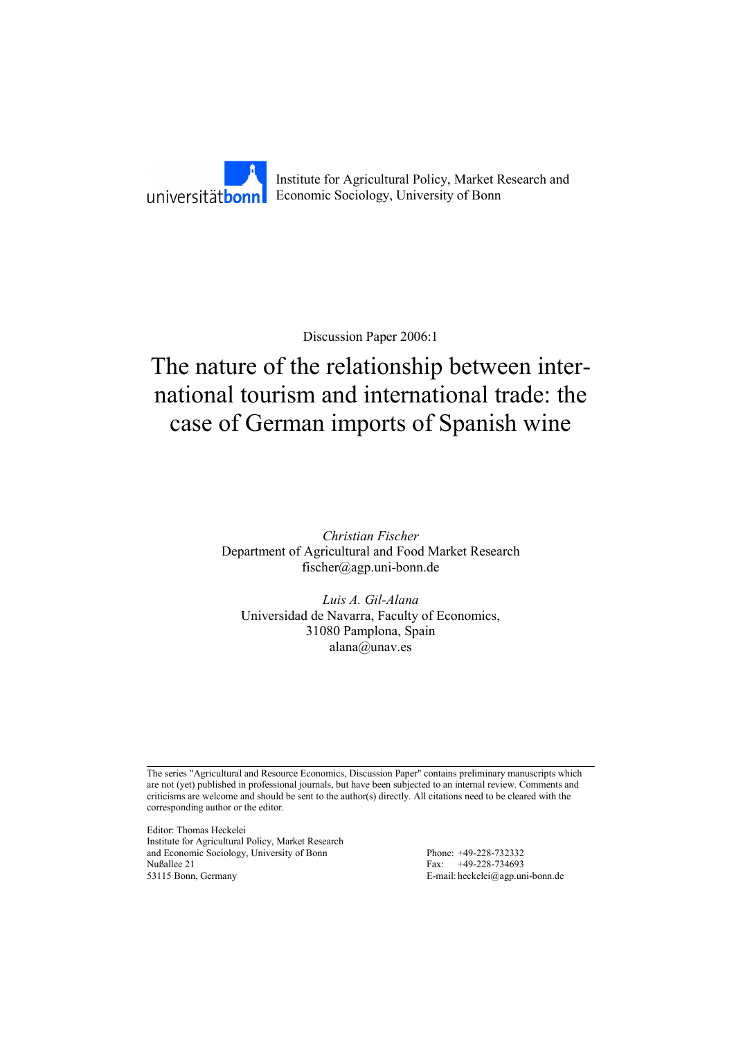

Discussion Paper 2006:1

# The nature of the relationship between international tourism and international trade: the case of German imports of Spanish wine

*Christian Fischer*  Department of Agricultural and Food Market Research fischer@agp.uni-bonn.de

*Luis A. Gil-Alana*  Universidad de Navarra, Faculty of Economics, 31080 Pamplona, Spain alana@unav.es

The series "Agricultural and Resource Economics, Discussion Paper" contains preliminary manuscripts which are not (yet) published in professional journals, but have been subjected to an internal review. Comments and criticisms are welcome and should be sent to the author(s) directly. All citations need to be cleared with the corresponding author or the editor.

Editor: Thomas Heckelei Institute for Agricultural Policy, Market Research and Economic Sociology, University of Bonn Phone: +49-228-732332 Nußallee 21 Fax: +49-228-734693 53115 Bonn, Germany E-mail: heckelei@agp.uni-bonn.de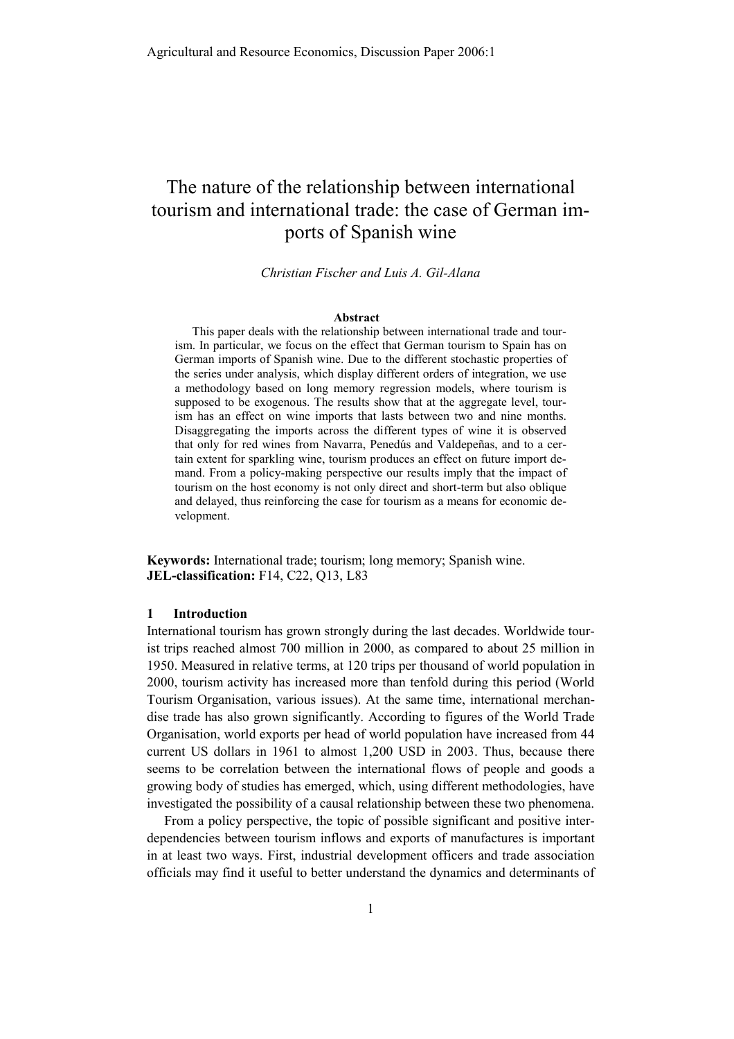# The nature of the relationship between international tourism and international trade: the case of German imports of Spanish wine

*Christian Fischer and Luis A. Gil-Alana* 

#### **Abstract**

This paper deals with the relationship between international trade and tourism. In particular, we focus on the effect that German tourism to Spain has on German imports of Spanish wine. Due to the different stochastic properties of the series under analysis, which display different orders of integration, we use a methodology based on long memory regression models, where tourism is supposed to be exogenous. The results show that at the aggregate level, tourism has an effect on wine imports that lasts between two and nine months. Disaggregating the imports across the different types of wine it is observed that only for red wines from Navarra, Penedús and Valdepeñas, and to a certain extent for sparkling wine, tourism produces an effect on future import demand. From a policy-making perspective our results imply that the impact of tourism on the host economy is not only direct and short-term but also oblique and delayed, thus reinforcing the case for tourism as a means for economic development.

**Keywords:** International trade; tourism; long memory; Spanish wine. **JEL-classification:** F14, C22, Q13, L83

#### **1 Introduction**

International tourism has grown strongly during the last decades. Worldwide tourist trips reached almost 700 million in 2000, as compared to about 25 million in 1950. Measured in relative terms, at 120 trips per thousand of world population in 2000, tourism activity has increased more than tenfold during this period (World Tourism Organisation, various issues). At the same time, international merchandise trade has also grown significantly. According to figures of the World Trade Organisation, world exports per head of world population have increased from 44 current US dollars in 1961 to almost 1,200 USD in 2003. Thus, because there seems to be correlation between the international flows of people and goods a growing body of studies has emerged, which, using different methodologies, have investigated the possibility of a causal relationship between these two phenomena.

From a policy perspective, the topic of possible significant and positive interdependencies between tourism inflows and exports of manufactures is important in at least two ways. First, industrial development officers and trade association officials may find it useful to better understand the dynamics and determinants of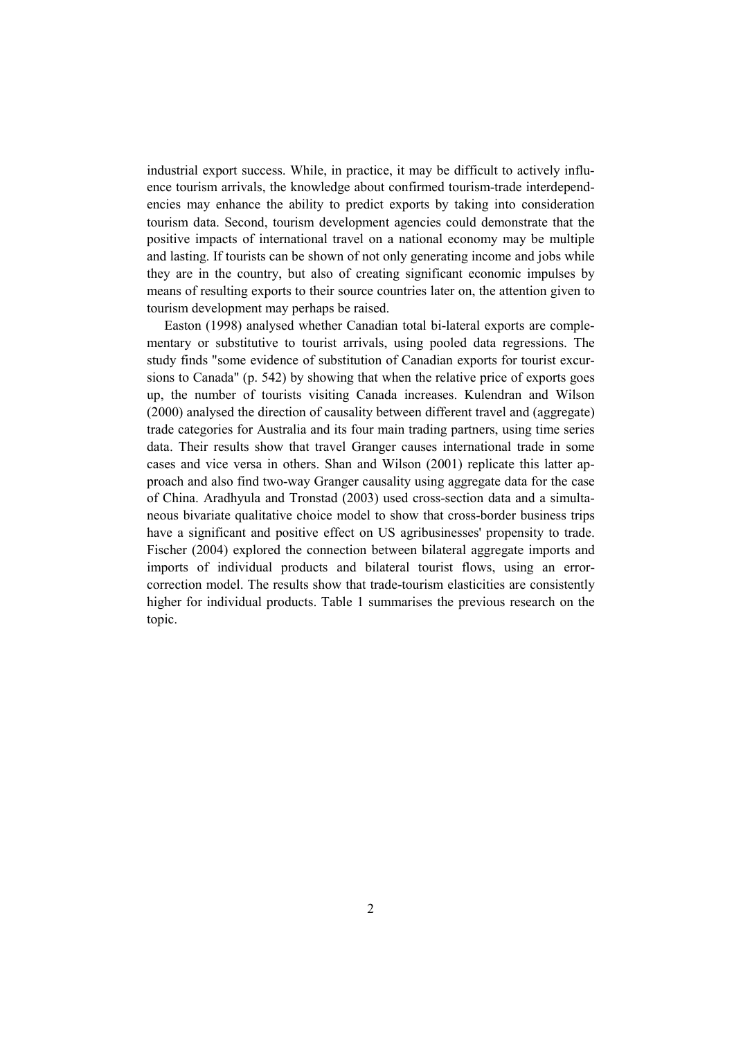industrial export success. While, in practice, it may be difficult to actively influence tourism arrivals, the knowledge about confirmed tourism-trade interdependencies may enhance the ability to predict exports by taking into consideration tourism data. Second, tourism development agencies could demonstrate that the positive impacts of international travel on a national economy may be multiple and lasting. If tourists can be shown of not only generating income and jobs while they are in the country, but also of creating significant economic impulses by means of resulting exports to their source countries later on, the attention given to tourism development may perhaps be raised.

Easton (1998) analysed whether Canadian total bi-lateral exports are complementary or substitutive to tourist arrivals, using pooled data regressions. The study finds "some evidence of substitution of Canadian exports for tourist excursions to Canada" (p. 542) by showing that when the relative price of exports goes up, the number of tourists visiting Canada increases. Kulendran and Wilson (2000) analysed the direction of causality between different travel and (aggregate) trade categories for Australia and its four main trading partners, using time series data. Their results show that travel Granger causes international trade in some cases and vice versa in others. Shan and Wilson (2001) replicate this latter approach and also find two-way Granger causality using aggregate data for the case of China. Aradhyula and Tronstad (2003) used cross-section data and a simultaneous bivariate qualitative choice model to show that cross-border business trips have a significant and positive effect on US agribusinesses' propensity to trade. Fischer (2004) explored the connection between bilateral aggregate imports and imports of individual products and bilateral tourist flows, using an errorcorrection model. The results show that trade-tourism elasticities are consistently higher for individual products. Table 1 summarises the previous research on the topic.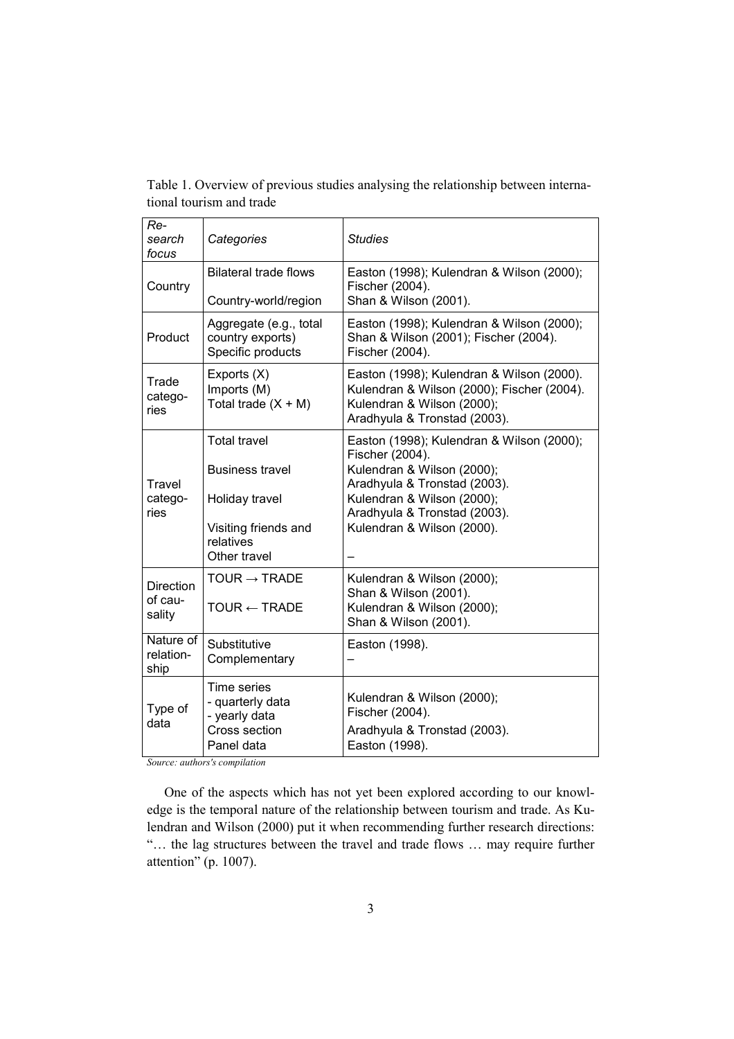| Re-<br>search<br>focus                | Categories                                                                                                           | <b>Studies</b>                                                                                                                                                                                                         |
|---------------------------------------|----------------------------------------------------------------------------------------------------------------------|------------------------------------------------------------------------------------------------------------------------------------------------------------------------------------------------------------------------|
| Country                               | <b>Bilateral trade flows</b><br>Country-world/region                                                                 | Easton (1998); Kulendran & Wilson (2000);<br>Fischer (2004).<br>Shan & Wilson (2001).                                                                                                                                  |
| Product                               | Aggregate (e.g., total<br>country exports)<br>Specific products                                                      | Easton (1998); Kulendran & Wilson (2000);<br>Shan & Wilson (2001); Fischer (2004).<br>Fischer (2004).                                                                                                                  |
| Trade<br>catego-<br>ries              | Exports (X)<br>Imports (M)<br>Total trade $(X + M)$                                                                  | Easton (1998); Kulendran & Wilson (2000).<br>Kulendran & Wilson (2000); Fischer (2004).<br>Kulendran & Wilson (2000);<br>Aradhyula & Tronstad (2003).                                                                  |
| Travel<br>catego-<br>ries             | <b>Total travel</b><br><b>Business travel</b><br>Holiday travel<br>Visiting friends and<br>relatives<br>Other travel | Easton (1998); Kulendran & Wilson (2000);<br>Fischer (2004).<br>Kulendran & Wilson (2000);<br>Aradhyula & Tronstad (2003).<br>Kulendran & Wilson (2000);<br>Aradhyula & Tronstad (2003).<br>Kulendran & Wilson (2000). |
| <b>Direction</b><br>of cau-<br>sality | TOUR $\rightarrow$ TRADE<br>$TOUR \leftarrow TRADE$                                                                  | Kulendran & Wilson (2000);<br>Shan & Wilson (2001).<br>Kulendran & Wilson (2000);<br>Shan & Wilson (2001).                                                                                                             |
| Nature of<br>relation-<br>ship        | Substitutive<br>Complementary                                                                                        | Easton (1998).                                                                                                                                                                                                         |
| Type of<br>data                       | Time series<br>- quarterly data<br>- yearly data<br>Cross section<br>Panel data                                      | Kulendran & Wilson (2000);<br>Fischer (2004).<br>Aradhyula & Tronstad (2003).<br>Easton (1998).                                                                                                                        |

Table 1. Overview of previous studies analysing the relationship between international tourism and trade

*Source: authors's compilation* 

One of the aspects which has not yet been explored according to our knowledge is the temporal nature of the relationship between tourism and trade. As Kulendran and Wilson (2000) put it when recommending further research directions: "… the lag structures between the travel and trade flows … may require further attention" (p. 1007).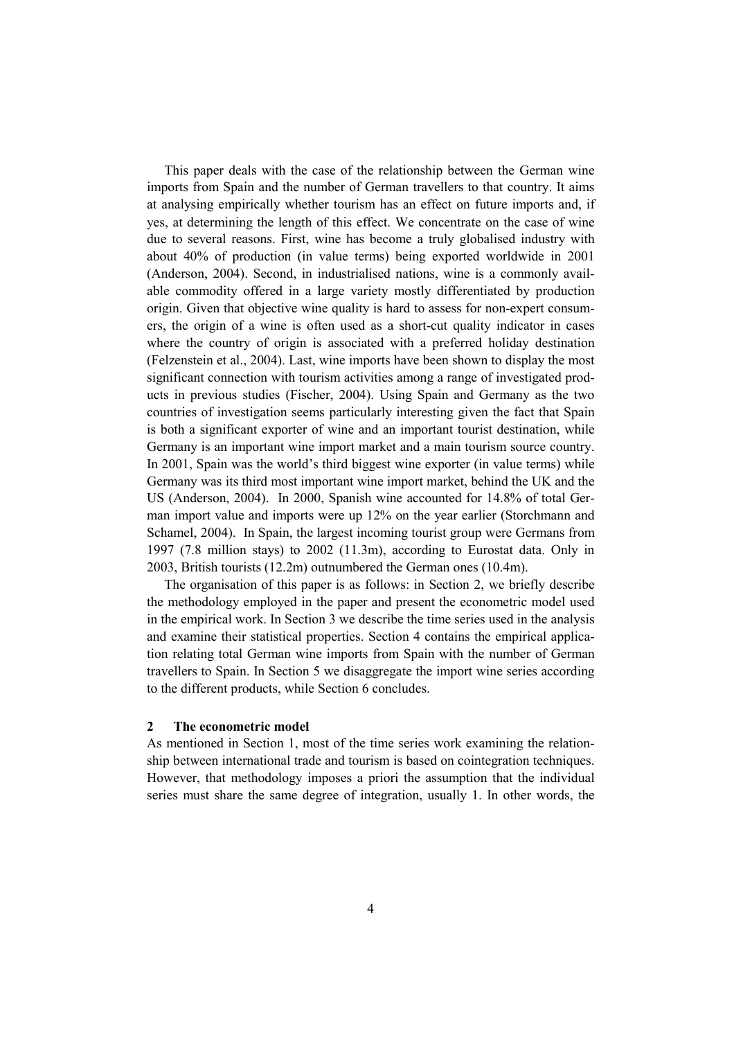This paper deals with the case of the relationship between the German wine imports from Spain and the number of German travellers to that country. It aims at analysing empirically whether tourism has an effect on future imports and, if yes, at determining the length of this effect. We concentrate on the case of wine due to several reasons. First, wine has become a truly globalised industry with about 40% of production (in value terms) being exported worldwide in 2001 (Anderson, 2004). Second, in industrialised nations, wine is a commonly available commodity offered in a large variety mostly differentiated by production origin. Given that objective wine quality is hard to assess for non-expert consumers, the origin of a wine is often used as a short-cut quality indicator in cases where the country of origin is associated with a preferred holiday destination (Felzenstein et al., 2004). Last, wine imports have been shown to display the most significant connection with tourism activities among a range of investigated products in previous studies (Fischer, 2004). Using Spain and Germany as the two countries of investigation seems particularly interesting given the fact that Spain is both a significant exporter of wine and an important tourist destination, while Germany is an important wine import market and a main tourism source country. In 2001, Spain was the world's third biggest wine exporter (in value terms) while Germany was its third most important wine import market, behind the UK and the US (Anderson, 2004). In 2000, Spanish wine accounted for 14.8% of total German import value and imports were up 12% on the year earlier (Storchmann and Schamel, 2004). In Spain, the largest incoming tourist group were Germans from 1997 (7.8 million stays) to 2002 (11.3m), according to Eurostat data. Only in 2003, British tourists (12.2m) outnumbered the German ones (10.4m).

The organisation of this paper is as follows: in Section 2, we briefly describe the methodology employed in the paper and present the econometric model used in the empirical work. In Section 3 we describe the time series used in the analysis and examine their statistical properties. Section 4 contains the empirical application relating total German wine imports from Spain with the number of German travellers to Spain. In Section 5 we disaggregate the import wine series according to the different products, while Section 6 concludes.

#### **2 The econometric model**

As mentioned in Section 1, most of the time series work examining the relationship between international trade and tourism is based on cointegration techniques. However, that methodology imposes a priori the assumption that the individual series must share the same degree of integration, usually 1. In other words, the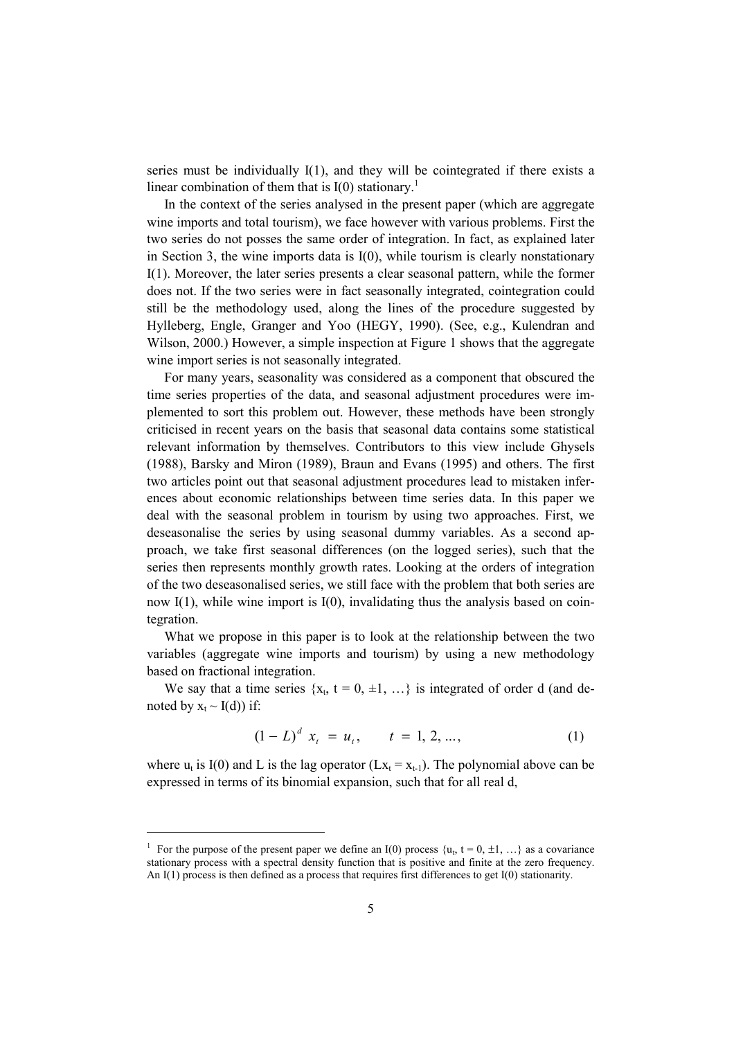series must be individually I(1), and they will be cointegrated if there exists a linear combination of them that is  $I(0)$  stationary.<sup>1</sup>

In the context of the series analysed in the present paper (which are aggregate wine imports and total tourism), we face however with various problems. First the two series do not posses the same order of integration. In fact, as explained later in Section 3, the wine imports data is  $I(0)$ , while tourism is clearly nonstationary I(1). Moreover, the later series presents a clear seasonal pattern, while the former does not. If the two series were in fact seasonally integrated, cointegration could still be the methodology used, along the lines of the procedure suggested by Hylleberg, Engle, Granger and Yoo (HEGY, 1990). (See, e.g., Kulendran and Wilson, 2000.) However, a simple inspection at Figure 1 shows that the aggregate wine import series is not seasonally integrated.

For many years, seasonality was considered as a component that obscured the time series properties of the data, and seasonal adjustment procedures were implemented to sort this problem out. However, these methods have been strongly criticised in recent years on the basis that seasonal data contains some statistical relevant information by themselves. Contributors to this view include Ghysels (1988), Barsky and Miron (1989), Braun and Evans (1995) and others. The first two articles point out that seasonal adjustment procedures lead to mistaken inferences about economic relationships between time series data. In this paper we deal with the seasonal problem in tourism by using two approaches. First, we deseasonalise the series by using seasonal dummy variables. As a second approach, we take first seasonal differences (on the logged series), such that the series then represents monthly growth rates. Looking at the orders of integration of the two deseasonalised series, we still face with the problem that both series are now I(1), while wine import is I(0), invalidating thus the analysis based on cointegration.

What we propose in this paper is to look at the relationship between the two variables (aggregate wine imports and tourism) by using a new methodology based on fractional integration.

We say that a time series  $\{x_t, t = 0, \pm 1, ...\}$  is integrated of order d (and denoted by  $x_t \sim I(d)$ ) if:

$$
(1 - L)^d x_t = u_t, \qquad t = 1, 2, ..., \tag{1}
$$

where  $u_t$  is I(0) and L is the lag operator (L $x_t = x_{t-1}$ ). The polynomial above can be expressed in terms of its binomial expansion, such that for all real d,

<sup>&</sup>lt;sup>1</sup> For the purpose of the present paper we define an I(0) process  $\{u_t, t = 0, \pm 1, ...\}$  as a covariance stationary process with a spectral density function that is positive and finite at the zero frequency. An I(1) process is then defined as a process that requires first differences to get I(0) stationarity.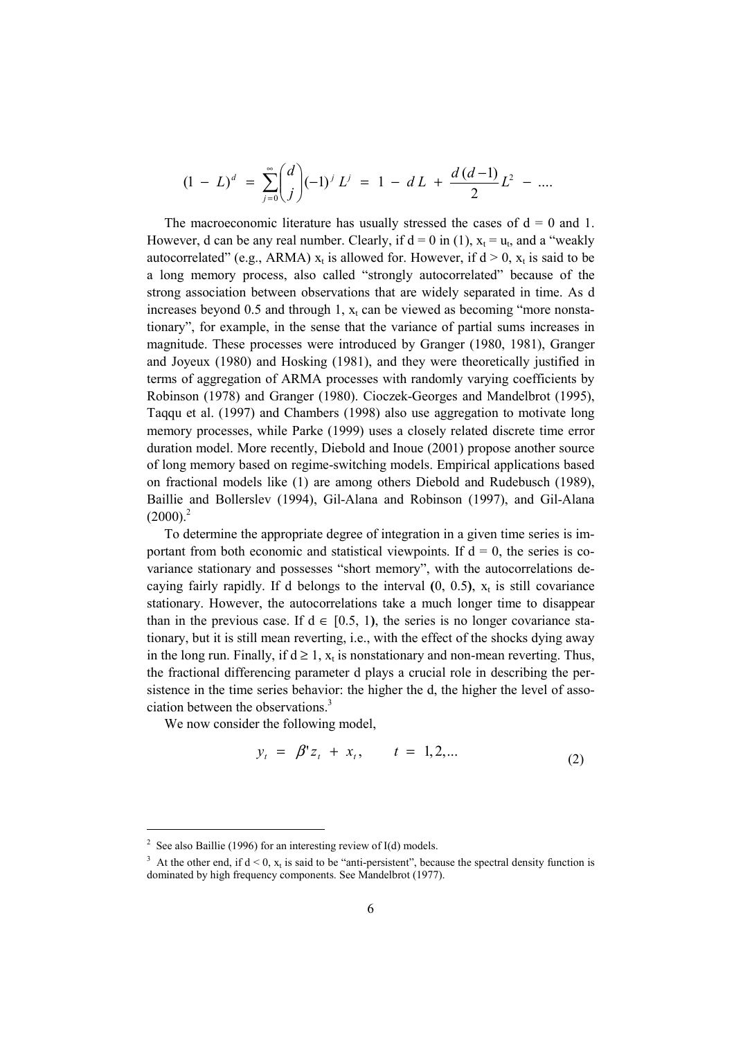$$
(1 - L)^d = \sum_{j=0}^{\infty} {d \choose j} (-1)^j L^j = 1 - dL + \frac{d(d-1)}{2}L^2 - \dots
$$

The macroeconomic literature has usually stressed the cases of  $d = 0$  and 1. However, d can be any real number. Clearly, if  $d = 0$  in (1),  $x_t = u_t$ , and a "weakly autocorrelated" (e.g., ARMA)  $x_t$  is allowed for. However, if  $d > 0$ ,  $x_t$  is said to be a long memory process, also called "strongly autocorrelated" because of the strong association between observations that are widely separated in time. As d increases beyond 0.5 and through 1,  $x_t$  can be viewed as becoming "more nonstationary", for example, in the sense that the variance of partial sums increases in magnitude. These processes were introduced by Granger (1980, 1981), Granger and Joyeux (1980) and Hosking (1981), and they were theoretically justified in terms of aggregation of ARMA processes with randomly varying coefficients by Robinson (1978) and Granger (1980). Cioczek-Georges and Mandelbrot (1995), Taqqu et al. (1997) and Chambers (1998) also use aggregation to motivate long memory processes, while Parke (1999) uses a closely related discrete time error duration model. More recently, Diebold and Inoue (2001) propose another source of long memory based on regime-switching models. Empirical applications based on fractional models like (1) are among others Diebold and Rudebusch (1989), Baillie and Bollerslev (1994), Gil-Alana and Robinson (1997), and Gil-Alana  $(2000)^2$ 

To determine the appropriate degree of integration in a given time series is important from both economic and statistical viewpoints. If  $d = 0$ , the series is covariance stationary and possesses "short memory", with the autocorrelations decaying fairly rapidly. If d belongs to the interval  $(0, 0.5)$ ,  $x<sub>t</sub>$  is still covariance stationary. However, the autocorrelations take a much longer time to disappear than in the previous case. If  $d \in [0.5, 1)$ , the series is no longer covariance stationary, but it is still mean reverting, i.e., with the effect of the shocks dying away in the long run. Finally, if  $d \ge 1$ ,  $x_t$  is nonstationary and non-mean reverting. Thus, the fractional differencing parameter d plays a crucial role in describing the persistence in the time series behavior: the higher the d, the higher the level of association between the observations.<sup>3</sup>

We now consider the following model,

$$
y_t = \beta' z_t + x_t, \qquad t = 1, 2, \dots \tag{2}
$$

<sup>&</sup>lt;sup>2</sup> See also Baillie (1996) for an interesting review of I(d) models.

<sup>&</sup>lt;sup>3</sup> At the other end, if  $d < 0$ ,  $x_t$  is said to be "anti-persistent", because the spectral density function is dominated by high frequency components. See Mandelbrot (1977).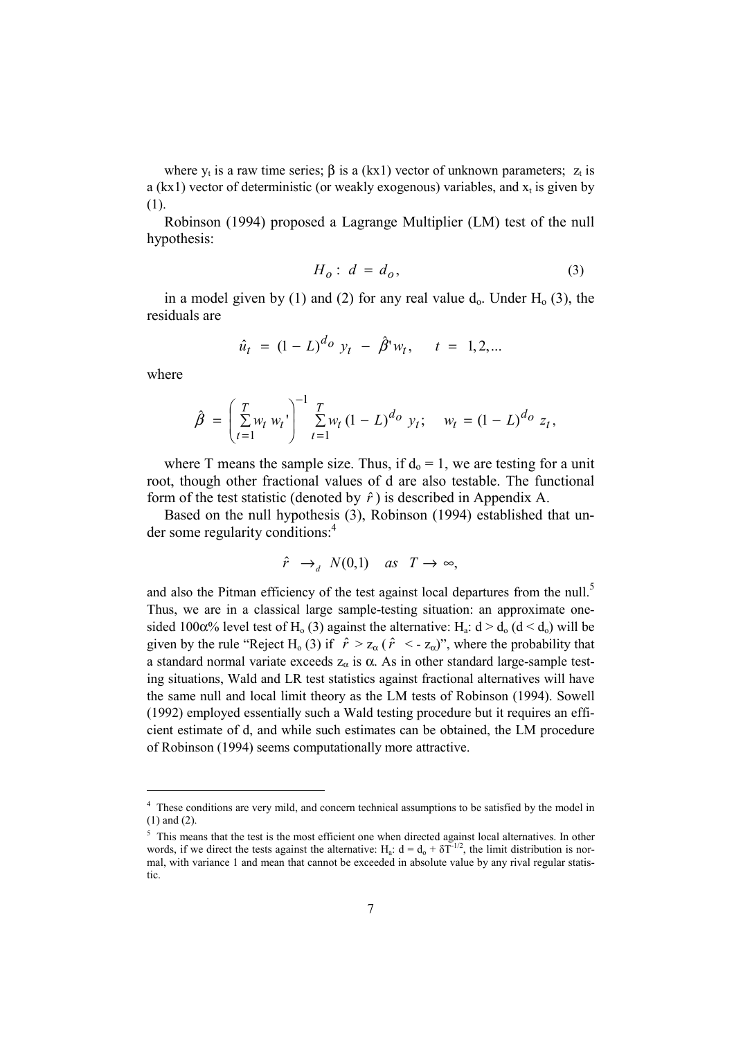where  $y_t$  is a raw time series;  $\beta$  is a (kx1) vector of unknown parameters;  $z_t$  is a (kx1) vector of deterministic (or weakly exogenous) variables, and  $x_t$  is given by (1).

Robinson (1994) proposed a Lagrange Multiplier (LM) test of the null hypothesis:

$$
H_o: d = d_o,
$$
\n<sup>(3)</sup>

in a model given by (1) and (2) for any real value  $d_0$ . Under  $H_0$  (3), the residuals are

$$
\hat{u}_t = (1 - L)^{d_O} y_t - \hat{\beta}^* w_t, \quad t = 1, 2, ...
$$

where

l

$$
\hat{\beta} = \left(\sum_{t=1}^T w_t w_t\right)^{-1} \sum_{t=1}^T w_t (1 - L)^{d_O} y_t; \quad w_t = (1 - L)^{d_O} z_t,
$$

where T means the sample size. Thus, if  $d_0 = 1$ , we are testing for a unit root, though other fractional values of d are also testable. The functional form of the test statistic (denoted by  $\hat{r}$ ) is described in Appendix A.

Based on the null hypothesis (3), Robinson (1994) established that under some regularity conditions:<sup>4</sup>

$$
\hat{r} \to_a N(0,1) \quad \text{as} \quad T \to \infty,
$$

and also the Pitman efficiency of the test against local departures from the null.<sup>5</sup> Thus, we are in a classical large sample-testing situation: an approximate onesided 100 $\alpha$ % level test of H<sub>0</sub> (3) against the alternative: H<sub>a</sub>: d > d<sub>0</sub> (d < d<sub>0</sub>) will be given by the rule "Reject H<sub>0</sub> (3) if  $\hat{r} > z_\alpha$  ( $\hat{r} < z_\alpha$ )", where the probability that a standard normal variate exceeds  $z_\alpha$  is  $\alpha$ . As in other standard large-sample testing situations, Wald and LR test statistics against fractional alternatives will have the same null and local limit theory as the LM tests of Robinson (1994). Sowell (1992) employed essentially such a Wald testing procedure but it requires an efficient estimate of d, and while such estimates can be obtained, the LM procedure of Robinson (1994) seems computationally more attractive.

<sup>&</sup>lt;sup>4</sup> These conditions are very mild, and concern technical assumptions to be satisfied by the model in (1) and (2).

<sup>&</sup>lt;sup>5</sup> This means that the test is the most efficient one when directed against local alternatives. In other words, if we direct the tests against the alternative: H<sub>a</sub>:  $d = d_0 + \delta T^{1/2}$ , the limit distribution is normal, with variance 1 and mean that cannot be exceeded in absolute value by any rival regular statistic.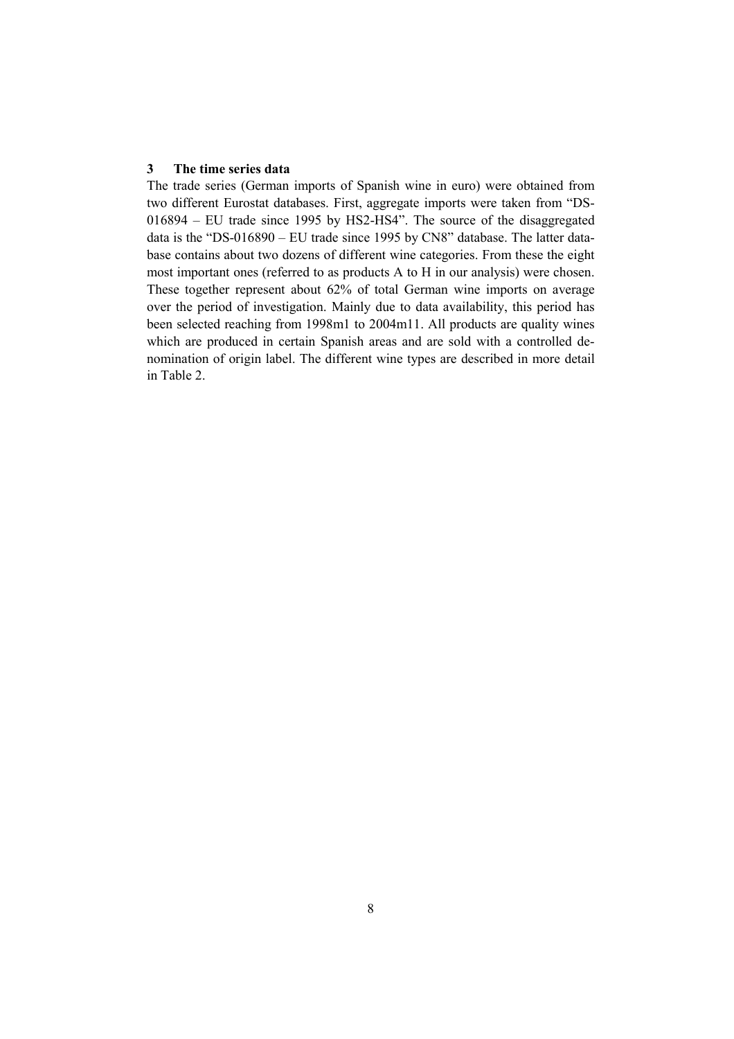#### **3 The time series data**

The trade series (German imports of Spanish wine in euro) were obtained from two different Eurostat databases. First, aggregate imports were taken from "DS-016894 – EU trade since 1995 by HS2-HS4". The source of the disaggregated data is the "DS-016890 – EU trade since 1995 by CN8" database. The latter database contains about two dozens of different wine categories. From these the eight most important ones (referred to as products A to H in our analysis) were chosen. These together represent about 62% of total German wine imports on average over the period of investigation. Mainly due to data availability, this period has been selected reaching from 1998m1 to 2004m11. All products are quality wines which are produced in certain Spanish areas and are sold with a controlled denomination of origin label. The different wine types are described in more detail in Table 2.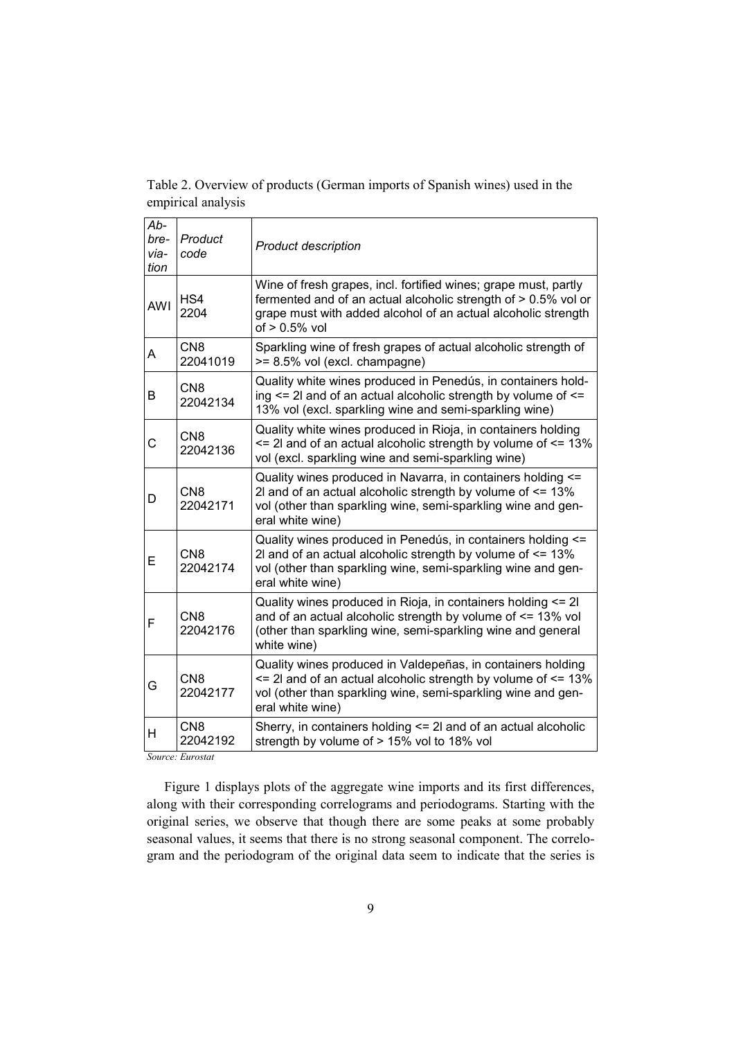Table 2. Overview of products (German imports of Spanish wines) used in the empirical analysis

| Ab-<br>bre-<br>via-<br>tion | Product<br>code             | <b>Product description</b>                                                                                                                                                                                             |
|-----------------------------|-----------------------------|------------------------------------------------------------------------------------------------------------------------------------------------------------------------------------------------------------------------|
| <b>AWI</b>                  | HS4<br>2204                 | Wine of fresh grapes, incl. fortified wines; grape must, partly<br>fermented and of an actual alcoholic strength of > 0.5% vol or<br>grape must with added alcohol of an actual alcoholic strength<br>of $> 0.5\%$ vol |
| A                           | CN <sub>8</sub><br>22041019 | Sparkling wine of fresh grapes of actual alcoholic strength of<br>>= 8.5% vol (excl. champagne)                                                                                                                        |
| B                           | CN <sub>8</sub><br>22042134 | Quality white wines produced in Penedús, in containers hold-<br>ing <= 2l and of an actual alcoholic strength by volume of <=<br>13% vol (excl. sparkling wine and semi-sparkling wine)                                |
| C                           | CN <sub>8</sub><br>22042136 | Quality white wines produced in Rioja, in containers holding<br>$\le$ 2l and of an actual alcoholic strength by volume of $\le$ 13%<br>vol (excl. sparkling wine and semi-sparkling wine)                              |
| D                           | CN <sub>8</sub><br>22042171 | Quality wines produced in Navarra, in containers holding <=<br>2l and of an actual alcoholic strength by volume of $\leq$ 13%<br>vol (other than sparkling wine, semi-sparkling wine and gen-<br>eral white wine)      |
| Е                           | CN <sub>8</sub><br>22042174 | Quality wines produced in Penedús, in containers holding <=<br>2l and of an actual alcoholic strength by volume of <= 13%<br>vol (other than sparkling wine, semi-sparkling wine and gen-<br>eral white wine)          |
| F                           | CN <sub>8</sub><br>22042176 | Quality wines produced in Rioja, in containers holding <= 2l<br>and of an actual alcoholic strength by volume of $\leq$ 13% vol<br>(other than sparkling wine, semi-sparkling wine and general<br>white wine)          |
| G                           | CN <sub>8</sub><br>22042177 | Quality wines produced in Valdepeñas, in containers holding<br>$\le$ 2l and of an actual alcoholic strength by volume of $\le$ 13%<br>vol (other than sparkling wine, semi-sparkling wine and gen-<br>eral white wine) |
| н                           | CN <sub>8</sub><br>22042192 | Sherry, in containers holding <= 2l and of an actual alcoholic<br>strength by volume of > 15% vol to 18% vol                                                                                                           |

*Source: Eurostat* 

Figure 1 displays plots of the aggregate wine imports and its first differences, along with their corresponding correlograms and periodograms. Starting with the original series, we observe that though there are some peaks at some probably seasonal values, it seems that there is no strong seasonal component. The correlogram and the periodogram of the original data seem to indicate that the series is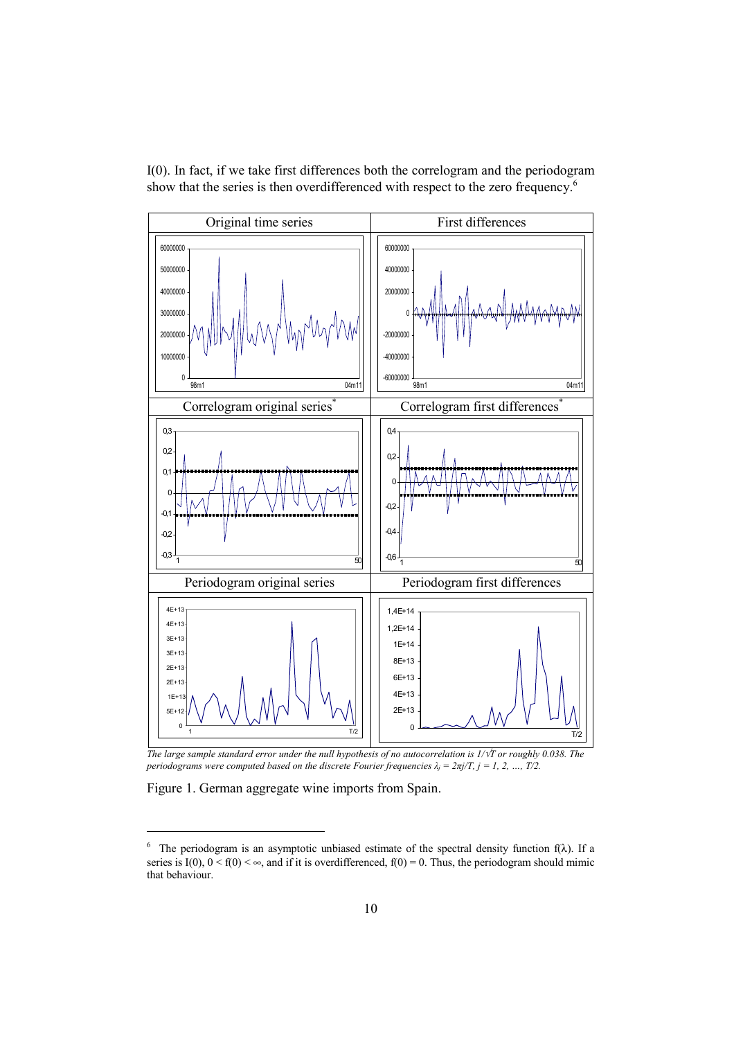I(0). In fact, if we take first differences both the correlogram and the periodogram show that the series is then overdifferenced with respect to the zero frequency.<sup>6</sup>



*The large sample standard error under the null hypothesis of no autocorrelation is 1/*√*T or roughly 0.038. The periodograms were computed based on the discrete Fourier frequencies*  $\lambda_i = 2\pi i/T$ *,*  $j = 1, 2, ..., T/2$ *.* 

Figure 1. German aggregate wine imports from Spain.

<sup>&</sup>lt;sup>6</sup> The periodogram is an asymptotic unbiased estimate of the spectral density function  $f(\lambda)$ . If a series is  $I(0)$ ,  $0 < f(0) < \infty$ , and if it is overdifferenced,  $f(0) = 0$ . Thus, the periodogram should mimic that behaviour.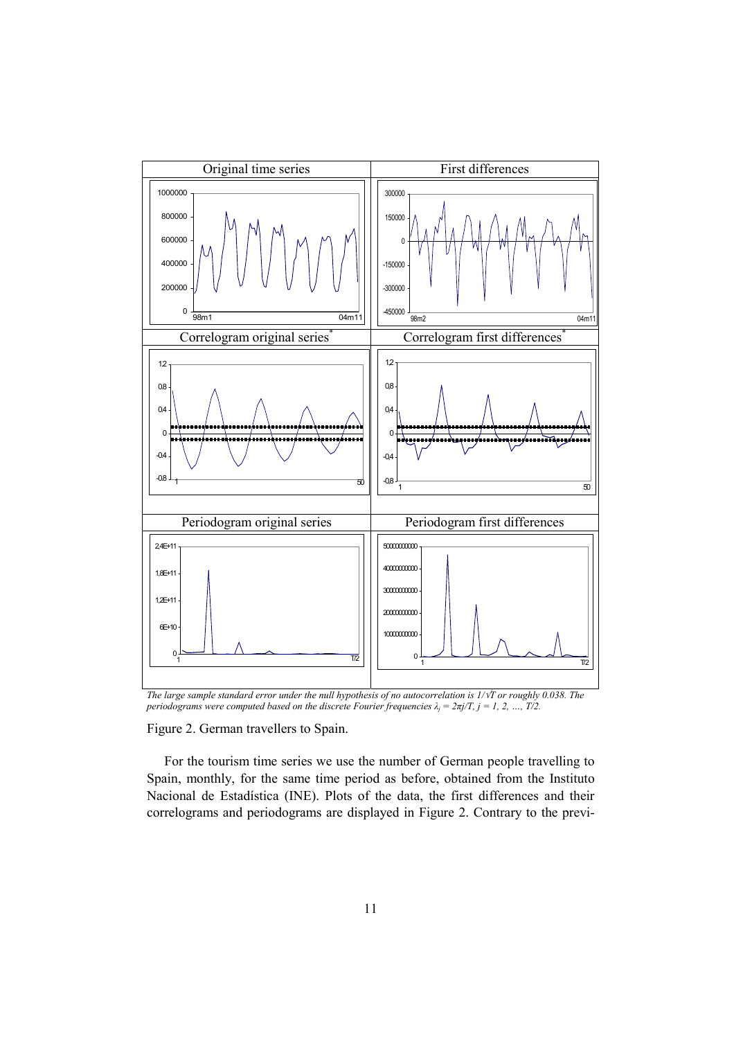

*The large sample standard error under the null hypothesis of no autocorrelation is 1/*√*T or roughly 0.038. The periodograms were computed based on the discrete Fourier frequencies*  $\lambda_j = 2\pi j/T$ *,*  $j = 1, 2, ..., T/2$ *.* 

Figure 2. German travellers to Spain.

For the tourism time series we use the number of German people travelling to Spain, monthly, for the same time period as before, obtained from the Instituto Nacional de Estadística (INE). Plots of the data, the first differences and their correlograms and periodograms are displayed in Figure 2. Contrary to the previ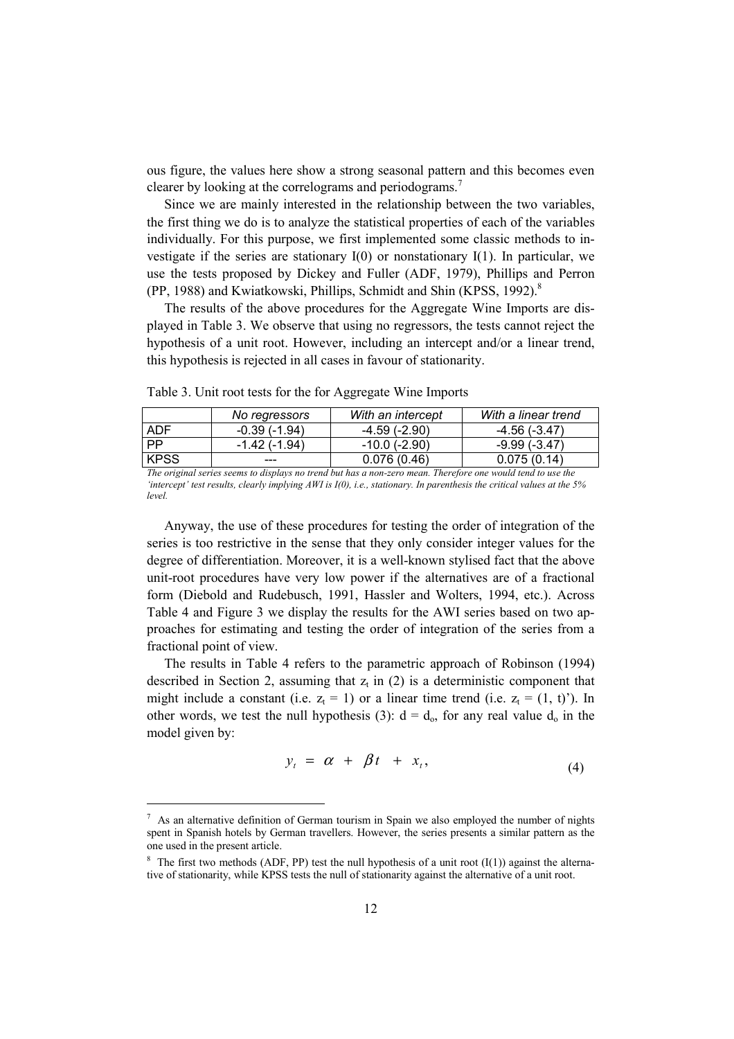ous figure, the values here show a strong seasonal pattern and this becomes even clearer by looking at the correlograms and periodograms.<sup>7</sup>

Since we are mainly interested in the relationship between the two variables, the first thing we do is to analyze the statistical properties of each of the variables individually. For this purpose, we first implemented some classic methods to investigate if the series are stationary  $I(0)$  or nonstationary  $I(1)$ . In particular, we use the tests proposed by Dickey and Fuller (ADF, 1979), Phillips and Perron (PP, 1988) and Kwiatkowski, Phillips, Schmidt and Shin (KPSS, 1992).<sup>8</sup>

The results of the above procedures for the Aggregate Wine Imports are displayed in Table 3. We observe that using no regressors, the tests cannot reject the hypothesis of a unit root. However, including an intercept and/or a linear trend, this hypothesis is rejected in all cases in favour of stationarity.

|                        | No regressors              | With an intercept   | With a linear trend                                                                         |
|------------------------|----------------------------|---------------------|---------------------------------------------------------------------------------------------|
| <b>ADF</b>             | $-0.39(-1.94)$             | $-4.59$ ( $-2.90$ ) | -4.56 (-3.47)                                                                               |
| PP                     | -1.42 (-1.94)              | -10.0 (-2.90)       | -9.99 (-3.47)                                                                               |
| <b>KPSS</b>            |                            | 0.076(0.46)         | 0.075(0.14)                                                                                 |
| TTI<br>$\cdot$ $\cdot$ | $\cdots$ $\cdots$ $\cdots$ | TTI<br>$\cdots$     | $\mathbf{1}$ $\mathbf{1}$ $\mathbf{1}$ $\mathbf{1}$ $\mathbf{1}$<br>$\cdot$ $\cdot$ $\cdot$ |

Table 3. Unit root tests for the for Aggregate Wine Imports

*The original series seems to displays no trend but has a non-zero mean. Therefore one would tend to use the 'intercept' test results, clearly implying AWI is I(0), i.e., stationary. In parenthesis the critical values at the 5% level.* 

Anyway, the use of these procedures for testing the order of integration of the series is too restrictive in the sense that they only consider integer values for the degree of differentiation. Moreover, it is a well-known stylised fact that the above unit-root procedures have very low power if the alternatives are of a fractional form (Diebold and Rudebusch, 1991, Hassler and Wolters, 1994, etc.). Across Table 4 and Figure 3 we display the results for the AWI series based on two approaches for estimating and testing the order of integration of the series from a fractional point of view.

The results in Table 4 refers to the parametric approach of Robinson (1994) described in Section 2, assuming that  $z_t$  in (2) is a deterministic component that might include a constant (i.e.  $z_t = 1$ ) or a linear time trend (i.e.  $z_t = (1, t)$ ). In other words, we test the null hypothesis (3):  $d = d_0$ , for any real value  $d_0$  in the model given by:

$$
y_t = \alpha + \beta t + x_t, \tag{4}
$$

<sup>7</sup> As an alternative definition of German tourism in Spain we also employed the number of nights spent in Spanish hotels by German travellers. However, the series presents a similar pattern as the one used in the present article.

<sup>&</sup>lt;sup>8</sup> The first two methods (ADF, PP) test the null hypothesis of a unit root  $(I(1))$  against the alternative of stationarity, while KPSS tests the null of stationarity against the alternative of a unit root.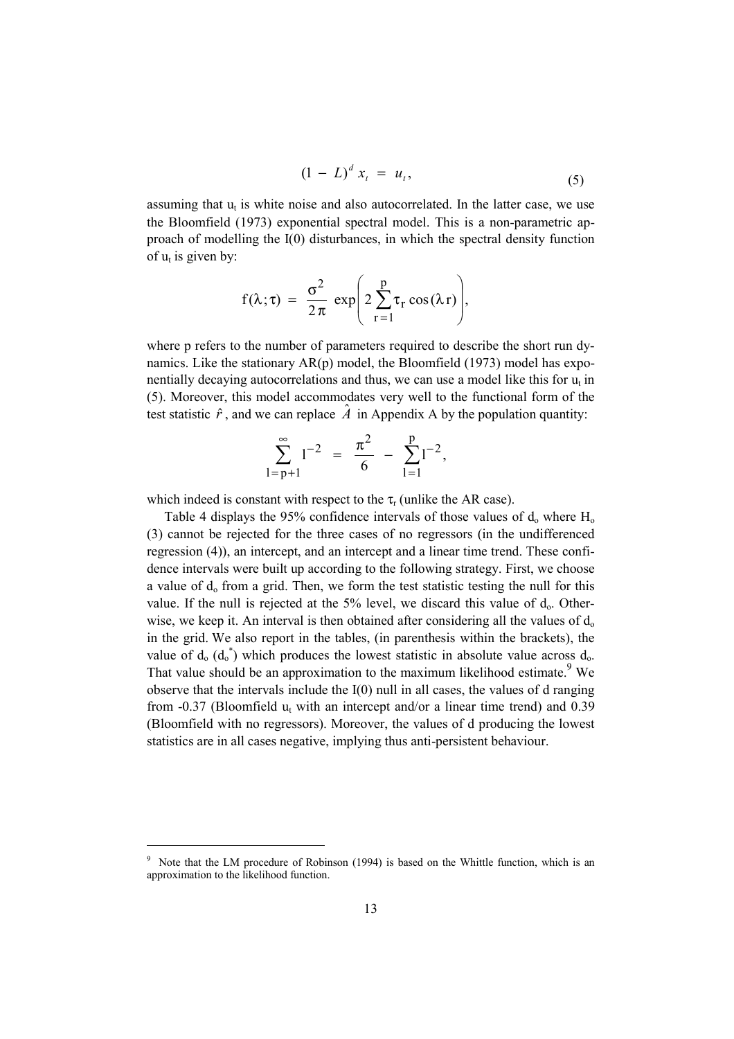$$
(1 - L)^d x_t = u_t, \t\t(5)
$$

assuming that  $u_t$  is white noise and also autocorrelated. In the latter case, we use the Bloomfield (1973) exponential spectral model. This is a non-parametric approach of modelling the I(0) disturbances, in which the spectral density function of  $u_t$  is given by:

$$
f(\lambda; \tau) = \frac{\sigma^2}{2\pi} \exp\left(2\sum_{r=1}^{p} \tau_r \cos(\lambda r)\right),
$$

where p refers to the number of parameters required to describe the short run dynamics. Like the stationary  $AR(p)$  model, the Bloomfield (1973) model has exponentially decaying autocorrelations and thus, we can use a model like this for  $u_t$  in (5). Moreover, this model accommodates very well to the functional form of the test statistic  $\hat{r}$ , and we can replace  $\hat{A}$  in Appendix A by the population quantity:

$$
\sum_{l=p+1}^{\infty} l^{-2} = \frac{\pi^2}{6} - \sum_{l=1}^{p} l^{-2},
$$

which indeed is constant with respect to the  $\tau_r$  (unlike the AR case).

Table 4 displays the 95% confidence intervals of those values of  $d_0$  where  $H_0$ (3) cannot be rejected for the three cases of no regressors (in the undifferenced regression (4)), an intercept, and an intercept and a linear time trend. These confidence intervals were built up according to the following strategy. First, we choose a value of  $d_0$  from a grid. Then, we form the test statistic testing the null for this value. If the null is rejected at the  $5\%$  level, we discard this value of  $d_0$ . Otherwise, we keep it. An interval is then obtained after considering all the values of  $d_0$ in the grid. We also report in the tables, (in parenthesis within the brackets), the value of  $d_0$  ( $d_0^*$ ) which produces the lowest statistic in absolute value across  $d_0$ . That value should be an approximation to the maximum likelihood estimate. <sup>9</sup> We observe that the intervals include the  $I(0)$  null in all cases, the values of d ranging from  $-0.37$  (Bloomfield  $u_t$  with an intercept and/or a linear time trend) and 0.39 (Bloomfield with no regressors). Moreover, the values of d producing the lowest statistics are in all cases negative, implying thus anti-persistent behaviour.

<sup>&</sup>lt;sup>9</sup> Note that the LM procedure of Robinson (1994) is based on the Whittle function, which is an approximation to the likelihood function.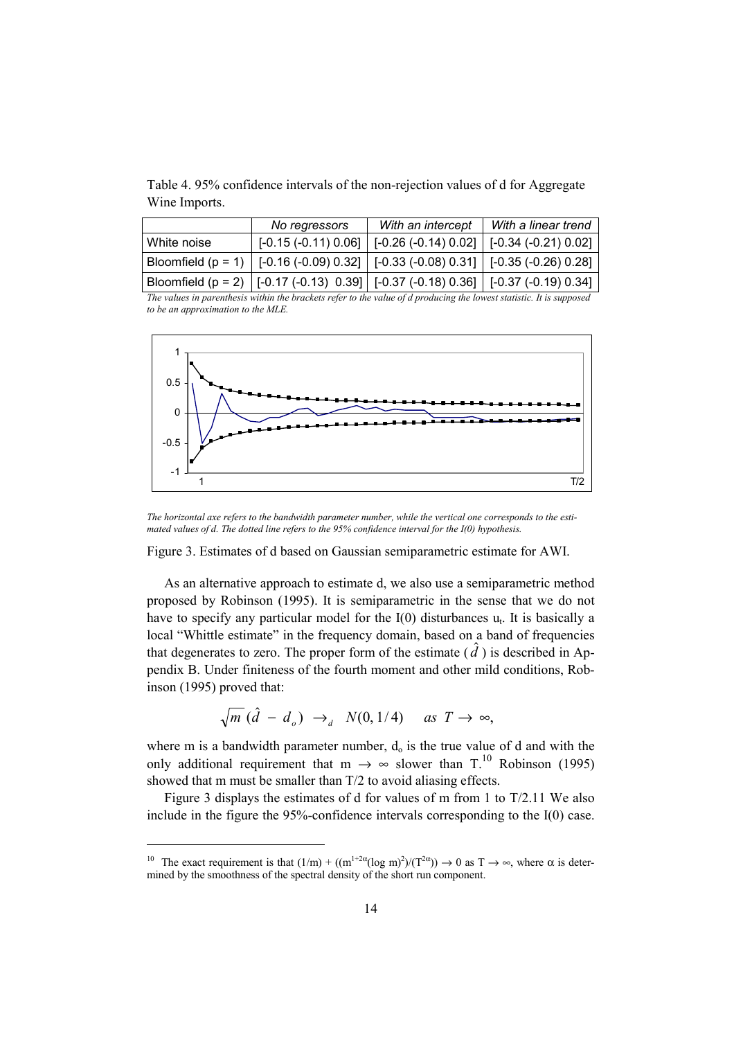Table 4. 95% confidence intervals of the non-rejection values of d for Aggregate Wine Imports.

|             | No regressors                                                                           | With an intercept                                                        | With a linear trend |
|-------------|-----------------------------------------------------------------------------------------|--------------------------------------------------------------------------|---------------------|
| White noise |                                                                                         | $[-0.15 (-0.11) 0.06]$   $[-0.26 (-0.14) 0.02]$   $[-0.34 (-0.21) 0.02]$ |                     |
|             | Bloomfield (p = 1)   [-0.16 (-0.09) 0.32]   [-0.33 (-0.08) 0.31]   [-0.35 (-0.26) 0.28] |                                                                          |                     |
|             | Bloomfield (p = 2)   [-0.17 (-0.13) 0.39]   [-0.37 (-0.18) 0.36]   [-0.37 (-0.19) 0.34] |                                                                          |                     |

*The values in parenthesis within the brackets refer to the value of d producing the lowest statistic. It is supposed to be an approximation to the MLE.* 



*The horizontal axe refers to the bandwidth parameter number, while the vertical one corresponds to the estimated values of d. The dotted line refers to the 95% confidence interval for the I(0) hypothesis.* 

Figure 3. Estimates of d based on Gaussian semiparametric estimate for AWI.

As an alternative approach to estimate d, we also use a semiparametric method proposed by Robinson (1995). It is semiparametric in the sense that we do not have to specify any particular model for the  $I(0)$  disturbances  $u_t$ . It is basically a local "Whittle estimate" in the frequency domain, based on a band of frequencies that degenerates to zero. The proper form of the estimate  $(\hat{d})$  is described in Appendix B. Under finiteness of the fourth moment and other mild conditions, Robinson (1995) proved that:

$$
\sqrt{m} \left( \hat{d} - d_o \right) \rightarrow_d N(0, 1/4) \quad \text{as } T \rightarrow \infty,
$$

where m is a bandwidth parameter number,  $d_0$  is the true value of d and with the only additional requirement that m  $\rightarrow \infty$  slower than T.<sup>10</sup> Robinson (1995) showed that m must be smaller than T/2 to avoid aliasing effects.

Figure 3 displays the estimates of d for values of m from 1 to T/2.11 We also include in the figure the 95%-confidence intervals corresponding to the I(0) case.

<sup>&</sup>lt;sup>10</sup> The exact requirement is that  $(1/m) + ((m^{1+2\alpha}(\log m)^2)/(T^{2\alpha})) \rightarrow 0$  as  $T \rightarrow \infty$ , where  $\alpha$  is determined by the smoothness of the spectral density of the short run component.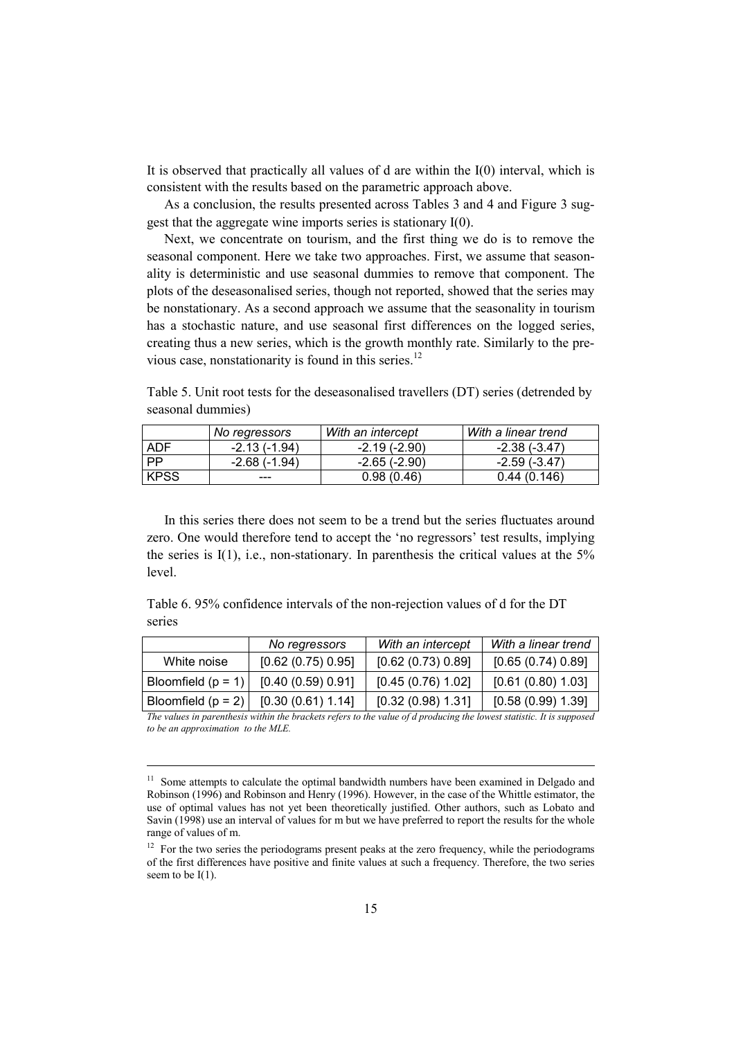It is observed that practically all values of d are within the I(0) interval, which is consistent with the results based on the parametric approach above.

As a conclusion, the results presented across Tables 3 and 4 and Figure 3 suggest that the aggregate wine imports series is stationary I(0).

Next, we concentrate on tourism, and the first thing we do is to remove the seasonal component. Here we take two approaches. First, we assume that seasonality is deterministic and use seasonal dummies to remove that component. The plots of the deseasonalised series, though not reported, showed that the series may be nonstationary. As a second approach we assume that the seasonality in tourism has a stochastic nature, and use seasonal first differences on the logged series, creating thus a new series, which is the growth monthly rate. Similarly to the previous case, nonstationarity is found in this series.<sup>12</sup>

Table 5. Unit root tests for the deseasonalised travellers (DT) series (detrended by seasonal dummies)

|           | No regressors  | With an intercept   | With a linear trend |
|-----------|----------------|---------------------|---------------------|
| ADF       | $-2.13(-1.94)$ | $-2.19(-2.90)$      | -2.38 (-3.47)       |
| <b>PP</b> | -2.68 (-1.94)  | $-2.65$ ( $-2.90$ ) | -2.59 (-3.47)       |
| l KPSS    | ---            | 0.98(0.46)          | 0.44(0.146)         |

In this series there does not seem to be a trend but the series fluctuates around zero. One would therefore tend to accept the 'no regressors' test results, implying the series is I(1), i.e., non-stationary. In parenthesis the critical values at the 5% level.

Table 6. 95% confidence intervals of the non-rejection values of d for the DT series

|                      | No regressors      | With an intercept  | With a linear trend |
|----------------------|--------------------|--------------------|---------------------|
| White noise          | [0.62 (0.75) 0.95] | [0.62 (0.73) 0.89] | [0.65(0.74) 0.89]   |
| Bloomfield $(p = 1)$ | [0.40(0.59)0.91]   | [0.45(0.76) 1.02]  | [0.61 (0.80) 1.03]  |
| Bloomfield $(p = 2)$ | [0.30(0.61) 1.14]  | [0.32(0.98) 1.31]  | [0.58(0.99) 1.39]   |

*The values in parenthesis within the brackets refers to the value of d producing the lowest statistic. It is supposed to be an approximation to the MLE.* 

<sup>&</sup>lt;sup>11</sup> Some attempts to calculate the optimal bandwidth numbers have been examined in Delgado and Robinson (1996) and Robinson and Henry (1996). However, in the case of the Whittle estimator, the use of optimal values has not yet been theoretically justified. Other authors, such as Lobato and Savin (1998) use an interval of values for m but we have preferred to report the results for the whole range of values of m.

 $12$  For the two series the periodograms present peaks at the zero frequency, while the periodograms of the first differences have positive and finite values at such a frequency. Therefore, the two series seem to be  $I(1)$ .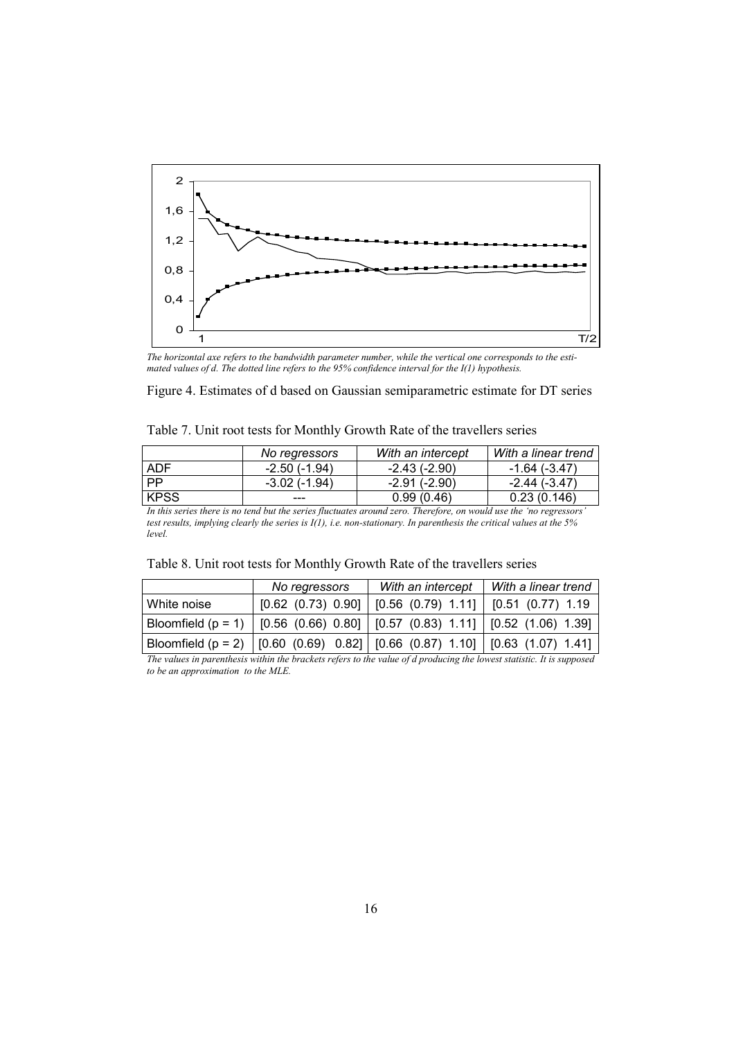

*The horizontal axe refers to the bandwidth parameter number, while the vertical one corresponds to the estimated values of d. The dotted line refers to the 95% confidence interval for the I(1) hypothesis.* 

|  |  | Figure 4. Estimates of d based on Gaussian semiparametric estimate for DT series |  |  |
|--|--|----------------------------------------------------------------------------------|--|--|
|  |  |                                                                                  |  |  |

|             | No regressors  | With an intercept | With a linear trend |
|-------------|----------------|-------------------|---------------------|
| <b>ADF</b>  | $-2.50(-1.94)$ | -2.43 (-2.90)     | -1.64 (-3.47)       |
| l PP        | -3.02 (-1.94)  | -2.91 (-2.90)     | -2.44 (-3.47)       |
| <b>KPSS</b> |                | 0.99(0.46)        | 0.23(0.146)         |

*In this series there is no tend but the series fluctuates around zero. Therefore, on would use the 'no regressors' test results, implying clearly the series is I(1), i.e. non-stationary. In parenthesis the critical values at the 5% level.* 

|             | No regressors                                                                     |                                                | With an intercept   With a linear trend                                           |  |  |
|-------------|-----------------------------------------------------------------------------------|------------------------------------------------|-----------------------------------------------------------------------------------|--|--|
| White noise | [0.62 (0.73) 0.90]                                                                | $\vert$ [0.56 (0.79) 1.11]   [0.51 (0.77) 1.19 |                                                                                   |  |  |
|             | Bloomfield (p = 1)   [0.56 (0.66) 0.80]   [0.57 (0.83) 1.11]   [0.52 (1.06) 1.39] |                                                |                                                                                   |  |  |
|             |                                                                                   |                                                | Bloomfield (p = 2)   [0.60 (0.69) 0.82]   [0.66 (0.87) 1.10]   [0.63 (1.07) 1.41] |  |  |

*The values in parenthesis within the brackets refers to the value of d producing the lowest statistic. It is supposed to be an approximation to the MLE.*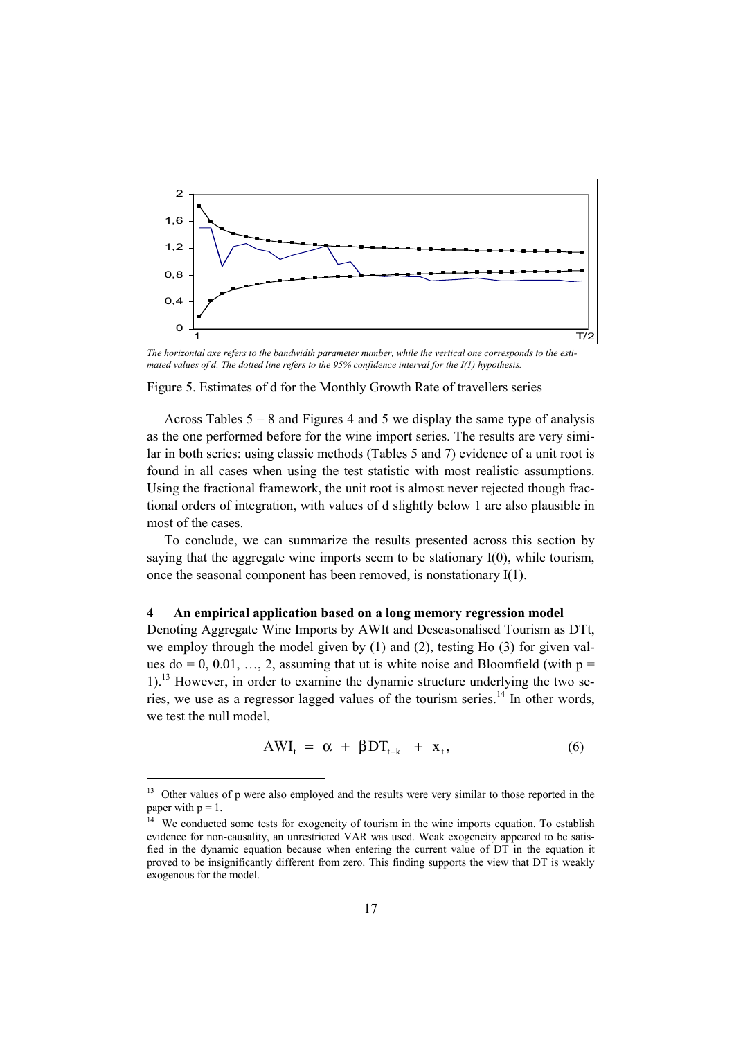

*The horizontal axe refers to the bandwidth parameter number, while the vertical one corresponds to the estimated values of d. The dotted line refers to the 95% confidence interval for the I(1) hypothesis.* 

#### Figure 5. Estimates of d for the Monthly Growth Rate of travellers series

Across Tables 5 – 8 and Figures 4 and 5 we display the same type of analysis as the one performed before for the wine import series. The results are very similar in both series: using classic methods (Tables 5 and 7) evidence of a unit root is found in all cases when using the test statistic with most realistic assumptions. Using the fractional framework, the unit root is almost never rejected though fractional orders of integration, with values of d slightly below 1 are also plausible in most of the cases.

To conclude, we can summarize the results presented across this section by saying that the aggregate wine imports seem to be stationary I(0), while tourism, once the seasonal component has been removed, is nonstationary I(1).

#### **4 An empirical application based on a long memory regression model**

Denoting Aggregate Wine Imports by AWIt and Deseasonalised Tourism as DTt, we employ through the model given by  $(1)$  and  $(2)$ , testing Ho  $(3)$  for given values do = 0, 0.01, ..., 2, assuming that ut is white noise and Bloomfield (with  $p =$  $1$ .<sup>13</sup> However, in order to examine the dynamic structure underlying the two series, we use as a regressor lagged values of the tourism series.<sup>14</sup> In other words, we test the null model,

$$
AWI_t = \alpha + \beta DT_{t-k} + x_t, \qquad (6)
$$

<sup>&</sup>lt;sup>13</sup> Other values of p were also employed and the results were very similar to those reported in the paper with  $p = 1$ .

<sup>&</sup>lt;sup>14</sup> We conducted some tests for exogeneity of tourism in the wine imports equation. To establish evidence for non-causality, an unrestricted VAR was used. Weak exogeneity appeared to be satisfied in the dynamic equation because when entering the current value of DT in the equation it proved to be insignificantly different from zero. This finding supports the view that DT is weakly exogenous for the model.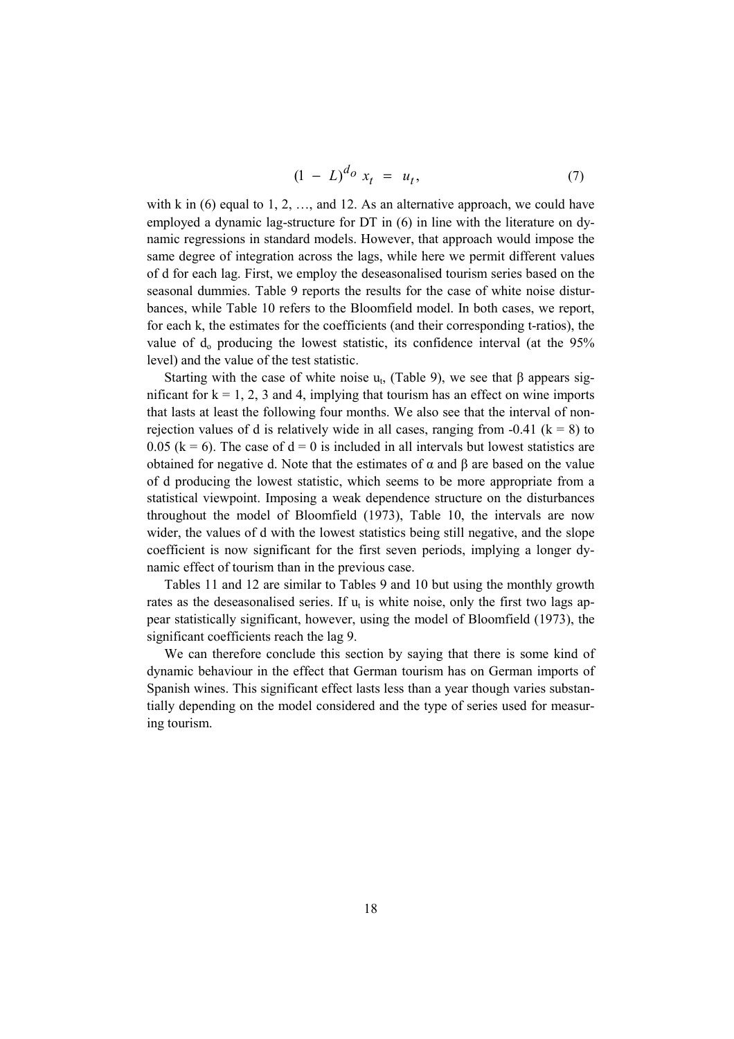$$
(1 - L)^{d_0} x_t = u_t, \t\t(7)
$$

with k in  $(6)$  equal to 1, 2, ..., and 12. As an alternative approach, we could have employed a dynamic lag-structure for DT in (6) in line with the literature on dynamic regressions in standard models. However, that approach would impose the same degree of integration across the lags, while here we permit different values of d for each lag. First, we employ the deseasonalised tourism series based on the seasonal dummies. Table 9 reports the results for the case of white noise disturbances, while Table 10 refers to the Bloomfield model. In both cases, we report, for each k, the estimates for the coefficients (and their corresponding t-ratios), the value of  $d_0$  producing the lowest statistic, its confidence interval (at the 95% level) and the value of the test statistic.

Starting with the case of white noise  $u_t$ , (Table 9), we see that  $\beta$  appears significant for  $k = 1, 2, 3$  and 4, implying that tourism has an effect on wine imports that lasts at least the following four months. We also see that the interval of nonrejection values of d is relatively wide in all cases, ranging from  $-0.41$  ( $k = 8$ ) to 0.05 ( $k = 6$ ). The case of  $d = 0$  is included in all intervals but lowest statistics are obtained for negative d. Note that the estimates of  $\alpha$  and  $\beta$  are based on the value of d producing the lowest statistic, which seems to be more appropriate from a statistical viewpoint. Imposing a weak dependence structure on the disturbances throughout the model of Bloomfield (1973), Table 10, the intervals are now wider, the values of d with the lowest statistics being still negative, and the slope coefficient is now significant for the first seven periods, implying a longer dynamic effect of tourism than in the previous case.

Tables 11 and 12 are similar to Tables 9 and 10 but using the monthly growth rates as the deseasonalised series. If  $u_t$  is white noise, only the first two lags appear statistically significant, however, using the model of Bloomfield (1973), the significant coefficients reach the lag 9.

We can therefore conclude this section by saying that there is some kind of dynamic behaviour in the effect that German tourism has on German imports of Spanish wines. This significant effect lasts less than a year though varies substantially depending on the model considered and the type of series used for measuring tourism.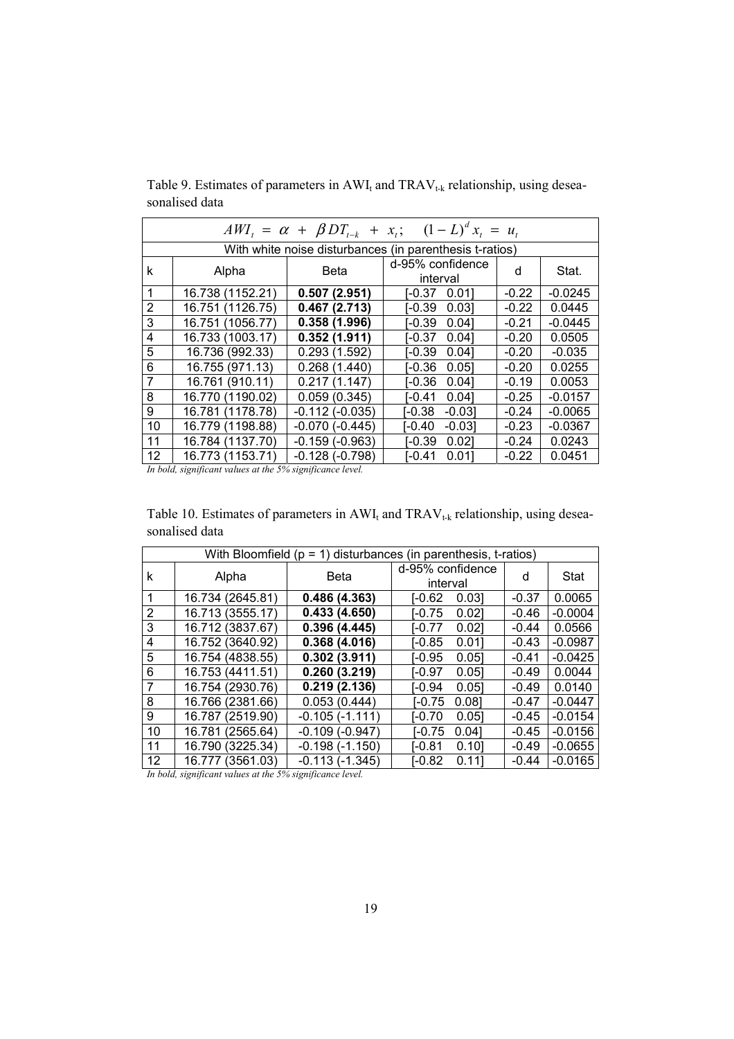|                | $AWI_t = \alpha + \beta DT_{t-k} + x_t; \quad (1-L)^d x_t = u_t$ |                  |                              |         |           |  |  |  |
|----------------|------------------------------------------------------------------|------------------|------------------------------|---------|-----------|--|--|--|
|                | With white noise disturbances (in parenthesis t-ratios)          |                  |                              |         |           |  |  |  |
| k              | Alpha                                                            | <b>Beta</b>      | d-95% confidence<br>interval | d       | Stat.     |  |  |  |
| 1              | 16.738 (1152.21)                                                 | 0.507(2.951)     | I-0.37<br>0.011              | $-0.22$ | $-0.0245$ |  |  |  |
| $\overline{2}$ | 16.751 (1126.75)                                                 | 0.467(2.713)     | I-0.39<br>0.031              | $-0.22$ | 0.0445    |  |  |  |
| 3              | 16.751 (1056.77)                                                 | 0.358(1.996)     | $-0.39$<br>0.041             | $-0.21$ | $-0.0445$ |  |  |  |
| $\overline{4}$ | 16.733 (1003.17)                                                 | 0.352(1.911)     | $-0.37$<br>0.041             | $-0.20$ | 0.0505    |  |  |  |
| 5              | 16.736 (992.33)                                                  | 0.293(1.592)     | I-0.39<br>0.041              | $-0.20$ | $-0.035$  |  |  |  |
| 6              | 16.755 (971.13)                                                  | 0.268(1.440)     | $-0.36$<br>0.051             | $-0.20$ | 0.0255    |  |  |  |
| $\overline{7}$ | 16.761 (910.11)                                                  | 0.217(1.147)     | $-0.36$<br>0.041             | $-0.19$ | 0.0053    |  |  |  |
| 8              | 16.770 (1190.02)                                                 | 0.059(0.345)     | I-0.41<br>0.041              | $-0.25$ | $-0.0157$ |  |  |  |
| 9              | 16.781 (1178.78)                                                 | $-0.112(-0.035)$ | I-0.38<br>$-0.031$           | $-0.24$ | $-0.0065$ |  |  |  |
| 10             | 16.779 (1198.88)                                                 | $-0.070(-0.445)$ | I-0.40<br>$-0.031$           | $-0.23$ | $-0.0367$ |  |  |  |
| 11             | 16.784 (1137.70)                                                 | $-0.159(-0.963)$ | $-0.39$<br>0.021             | $-0.24$ | 0.0243    |  |  |  |
| 12             | 16.773 (1153.71)                                                 | $-0.128(-0.798)$ | $-0.41$<br>0.011             | $-0.22$ | 0.0451    |  |  |  |

Table 9. Estimates of parameters in  $AWI_t$  and  $TRAV_{t-k}$  relationship, using deseasonalised data

*In bold, significant values at the 5% significance level.* 

Table 10. Estimates of parameters in  $AWI_t$  and  $TRAV_{t-k}$  relationship, using deseasonalised data

| With Bloomfield ( $p = 1$ ) disturbances (in parenthesis, t-ratios) |                  |                       |                              |         |             |  |  |  |
|---------------------------------------------------------------------|------------------|-----------------------|------------------------------|---------|-------------|--|--|--|
| k                                                                   | Alpha            | <b>Beta</b>           | d-95% confidence<br>interval | d       | <b>Stat</b> |  |  |  |
| 1                                                                   | 16.734 (2645.81) | 0.486(4.363)          | I-0.62<br>0.031              | $-0.37$ | 0.0065      |  |  |  |
| $\overline{2}$                                                      | 16.713 (3555.17) | 0.433(4.650)          | I-0.75<br>0.021              | $-0.46$ | $-0.0004$   |  |  |  |
| 3                                                                   | 16.712 (3837.67) | 0.396(4.445)          | I-0.77<br>0.02]              | $-0.44$ | 0.0566      |  |  |  |
| 4                                                                   | 16.752 (3640.92) | 0.368(4.016)          | I-0.85<br>0.011              | $-0.43$ | $-0.0987$   |  |  |  |
| 5                                                                   | 16.754 (4838.55) | 0.302(3.911)          | I-0.95<br>0.051              | $-0.41$ | $-0.0425$   |  |  |  |
| 6                                                                   | 16.753 (4411.51) | 0.260(3.219)          | I-0.97<br>0.051              | $-0.49$ | 0.0044      |  |  |  |
| $\overline{7}$                                                      | 16.754 (2930.76) | 0.219(2.136)          | I-0.94<br>0.051              | $-0.49$ | 0.0140      |  |  |  |
| 8                                                                   | 16.766 (2381.66) | 0.053(0.444)          | 0.081<br>I-0.75              | $-0.47$ | $-0.0447$   |  |  |  |
| 9                                                                   | 16.787 (2519.90) | $-0.105(-1.111)$      | I-0.70<br>0.051              | $-0.45$ | $-0.0154$   |  |  |  |
| 10                                                                  | 16.781 (2565.64) | $-0.109$ ( $-0.947$ ) | I-0.75<br>0.041              | $-0.45$ | $-0.0156$   |  |  |  |
| 11                                                                  | 16.790 (3225.34) | $-0.198(-1.150)$      | I-0.81<br>0.101              | $-0.49$ | $-0.0655$   |  |  |  |
| $12 \overline{ }$                                                   | 16.777 (3561.03) | -0.113 (-1.345)       | $-0.82$<br>0.111             | $-0.44$ | $-0.0165$   |  |  |  |

*In bold, significant values at the 5% significance level.*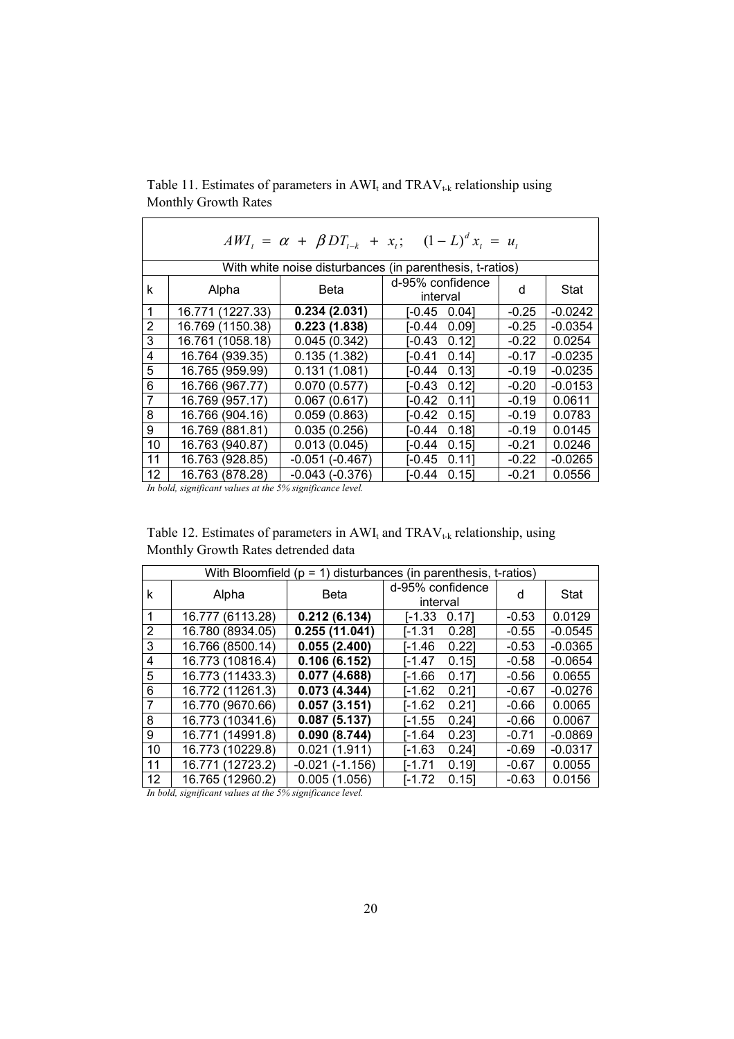| $AWI_t = \alpha + \beta DT_{t-k} + x_t; \quad (1-L)^d x_t = u_t$ |                                                                   |                  |                                                          |         |           |  |  |  |
|------------------------------------------------------------------|-------------------------------------------------------------------|------------------|----------------------------------------------------------|---------|-----------|--|--|--|
|                                                                  |                                                                   |                  | With white noise disturbances (in parenthesis, t-ratios) |         |           |  |  |  |
| k                                                                | d-95% confidence<br><b>Beta</b><br>Stat<br>Alpha<br>d<br>interval |                  |                                                          |         |           |  |  |  |
| 1                                                                | 16.771 (1227.33)                                                  | 0.234(2.031)     | I-0.45<br>0.041                                          | $-0.25$ | $-0.0242$ |  |  |  |
| $\overline{2}$                                                   | 16.769 (1150.38)                                                  | 0.223(1.838)     | I-0.44<br>0.091                                          | $-0.25$ | $-0.0354$ |  |  |  |
| 3                                                                | 16.761 (1058.18)                                                  | 0.045(0.342)     | I-0.43<br>0.121                                          | $-0.22$ | 0.0254    |  |  |  |
| 4                                                                | 16.764 (939.35)                                                   | 0.135(1.382)     | I-0.41<br>0.141                                          | $-0.17$ | $-0.0235$ |  |  |  |
| 5                                                                | 16.765 (959.99)                                                   | 0.131(1.081)     | [-0.44 0.13]                                             | $-0.19$ | $-0.0235$ |  |  |  |
| 6                                                                | 16.766 (967.77)                                                   | 0.070(0.577)     | [-0.43<br>0.121                                          | $-0.20$ | $-0.0153$ |  |  |  |
| $\overline{7}$                                                   | 16.769 (957.17)                                                   | 0.067(0.617)     | I-0.42<br>0.111                                          | $-0.19$ | 0.0611    |  |  |  |
| 8                                                                | 16.766 (904.16)                                                   | 0.059(0.863)     | I-0.42<br>0.151                                          | $-0.19$ | 0.0783    |  |  |  |
| 9                                                                | 16.769 (881.81)                                                   | 0.035(0.256)     | I-0.44<br>0.181                                          | $-0.19$ | 0.0145    |  |  |  |
| 10                                                               | 16.763 (940.87)                                                   | 0.013(0.045)     | I-0.44<br>0.151                                          | $-0.21$ | 0.0246    |  |  |  |
| 11                                                               | 16.763 (928.85)                                                   | $-0.051(-0.467)$ | I-0.45<br>0.111                                          | $-0.22$ | $-0.0265$ |  |  |  |
| $12 \overline{ }$                                                | 16.763 (878.28)                                                   | $-0.043(-0.376)$ | I-0.44<br>0.151                                          | $-0.21$ | 0.0556    |  |  |  |

Table 11. Estimates of parameters in  $AWI_t$  and  $TRAV_{t-k}$  relationship using Monthly Growth Rates

*In bold, significant values at the 5% significance level.* 

| Table 12. Estimates of parameters in $AWI_t$ and $TRAV_{t,k}$ relationship, using |  |
|-----------------------------------------------------------------------------------|--|
| Monthly Growth Rates detrended data                                               |  |

| With Bloomfield ( $p = 1$ ) disturbances (in parenthesis, t-ratios) |                     |                  |                              |         |           |  |  |  |
|---------------------------------------------------------------------|---------------------|------------------|------------------------------|---------|-----------|--|--|--|
| k                                                                   | Alpha               | <b>Beta</b>      | d-95% confidence<br>interval | d       | Stat      |  |  |  |
| 1                                                                   | 16.777<br>(6113.28) | 0.212(6.134)     | l-1.33<br>0.171              | $-0.53$ | 0.0129    |  |  |  |
| $\overline{2}$                                                      | 16.780 (8934.05)    | 0.255(11.041)    | 0.281<br><b>I-1.31</b>       | $-0.55$ | $-0.0545$ |  |  |  |
| 3                                                                   | 16.766 (8500.14)    | 0.055(2.400)     | 0.221<br>[-1.46              | $-0.53$ | $-0.0365$ |  |  |  |
| 4                                                                   | 16.773 (10816.4)    | 0.106(6.152)     | 0.151<br>I-1.47              | $-0.58$ | $-0.0654$ |  |  |  |
| 5                                                                   | 16.773 (11433.3)    | 0.077(4.688)     | 0.171<br>[-1.66              | $-0.56$ | 0.0655    |  |  |  |
| 6                                                                   | 16.772 (11261.3)    | 0.073(4.344)     | 0.211<br>I-1.62              | $-0.67$ | $-0.0276$ |  |  |  |
| $\overline{7}$                                                      | 16.770 (9670.66)    | 0.057(3.151)     | 0.211<br>[-1.62              | $-0.66$ | 0.0065    |  |  |  |
| 8                                                                   | 16.773 (10341.6)    | 0.087(5.137)     | I-1.55<br>0.241              | $-0.66$ | 0.0067    |  |  |  |
| 9                                                                   | 16.771 (14991.8)    | 0.090(8.744)     | 0.23<br>[-1.64               | $-0.71$ | $-0.0869$ |  |  |  |
| 10                                                                  | 16.773 (10229.8)    | 0.021(1.911)     | 0.241<br>I-1.63              | $-0.69$ | $-0.0317$ |  |  |  |
| 11                                                                  | 16.771 (12723.2)    | $-0.021(-1.156)$ | I-1.71<br>0.191              | $-0.67$ | 0.0055    |  |  |  |
| 12                                                                  | 16.765 (12960.2)    | 0.005(1.056)     | I-1.72<br>0.151              | $-0.63$ | 0.0156    |  |  |  |

*In bold, significant values at the 5% significance level.*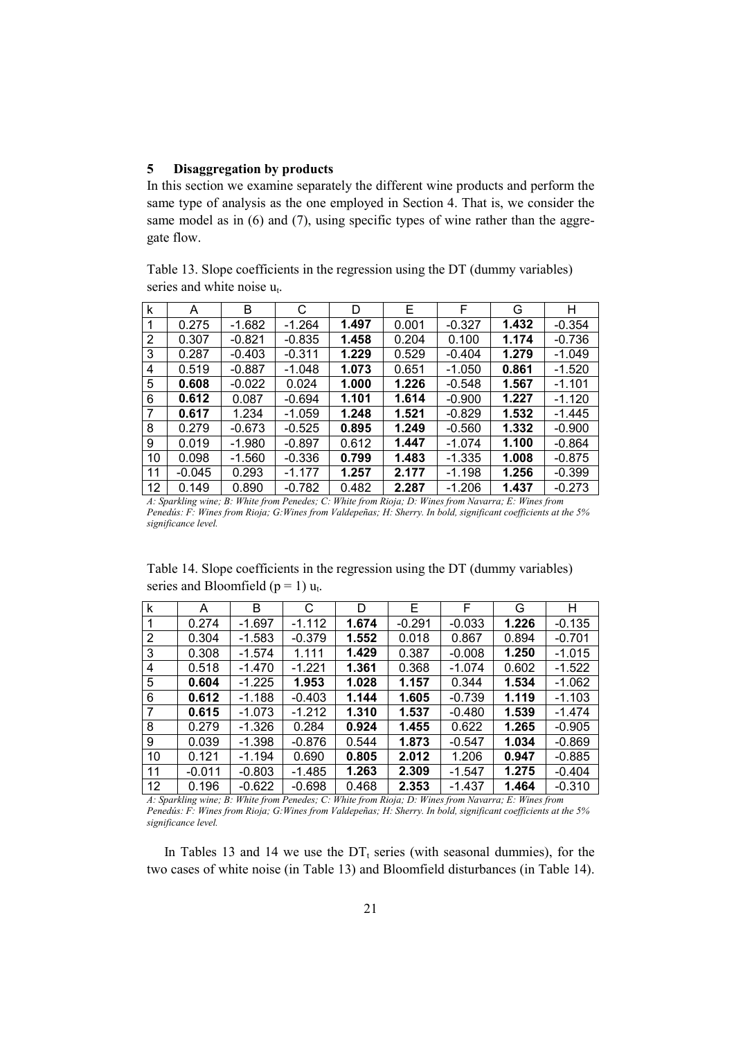#### **5 Disaggregation by products**

In this section we examine separately the different wine products and perform the same type of analysis as the one employed in Section 4. That is, we consider the same model as in (6) and (7), using specific types of wine rather than the aggregate flow.

Table 13. Slope coefficients in the regression using the DT (dummy variables) series and white noise  $u_t$ .

| k  | A        | В        | C        | D     | E.    | F        | G     | н        |
|----|----------|----------|----------|-------|-------|----------|-------|----------|
|    | 0.275    | -1.682   | $-1.264$ | 1.497 | 0.001 | $-0.327$ | 1.432 | $-0.354$ |
| 2  | 0.307    | $-0.821$ | $-0.835$ | 1.458 | 0.204 | 0.100    | 1.174 | $-0.736$ |
| 3  | 0.287    | $-0.403$ | $-0.311$ | 1.229 | 0.529 | $-0.404$ | 1.279 | $-1.049$ |
| 4  | 0.519    | $-0.887$ | $-1.048$ | 1.073 | 0.651 | $-1.050$ | 0.861 | $-1.520$ |
| 5  | 0.608    | $-0.022$ | 0.024    | 1.000 | 1.226 | $-0.548$ | 1.567 | $-1.101$ |
| 6  | 0.612    | 0.087    | $-0.694$ | 1.101 | 1.614 | $-0.900$ | 1.227 | $-1.120$ |
| 7  | 0.617    | 1.234    | $-1.059$ | 1.248 | 1.521 | $-0.829$ | 1.532 | $-1.445$ |
| 8  | 0.279    | $-0.673$ | $-0.525$ | 0.895 | 1.249 | $-0.560$ | 1.332 | $-0.900$ |
| 9  | 0.019    | $-1.980$ | $-0.897$ | 0.612 | 1.447 | $-1.074$ | 1.100 | $-0.864$ |
| 10 | 0.098    | $-1.560$ | $-0.336$ | 0.799 | 1.483 | $-1.335$ | 1.008 | $-0.875$ |
| 11 | $-0.045$ | 0.293    | $-1.177$ | 1.257 | 2.177 | $-1.198$ | 1.256 | $-0.399$ |
| 12 | 0.149    | 0.890    | $-0.782$ | 0.482 | 2.287 | $-1.206$ | 1.437 | $-0.273$ |

*A: Sparkling wine; B: White from Penedes; C: White from Rioja; D: Wines from Navarra; E: Wines from Penedús: F: Wines from Rioja; G:Wines from Valdepeñas; H: Sherry. In bold, significant coefficients at the 5% significance level.* 

Table 14. Slope coefficients in the regression using the DT (dummy variables) series and Bloomfield ( $p = 1$ )  $u_t$ .

| k  | A        | B        | C        | D     | E        | F        | G     | н        |
|----|----------|----------|----------|-------|----------|----------|-------|----------|
| 1  | 0.274    | $-1.697$ | $-1.112$ | 1.674 | $-0.291$ | $-0.033$ | 1.226 | $-0.135$ |
| 2  | 0.304    | $-1.583$ | $-0.379$ | 1.552 | 0.018    | 0.867    | 0.894 | $-0.701$ |
| 3  | 0.308    | $-1.574$ | 1.111    | 1.429 | 0.387    | $-0.008$ | 1.250 | $-1.015$ |
| 4  | 0.518    | $-1.470$ | $-1.221$ | 1.361 | 0.368    | $-1.074$ | 0.602 | $-1.522$ |
| 5  | 0.604    | $-1.225$ | 1.953    | 1.028 | 1.157    | 0.344    | 1.534 | $-1.062$ |
| 6  | 0.612    | $-1.188$ | $-0.403$ | 1.144 | 1.605    | $-0.739$ | 1.119 | $-1.103$ |
| 7  | 0.615    | $-1.073$ | $-1.212$ | 1.310 | 1.537    | $-0.480$ | 1.539 | $-1.474$ |
| 8  | 0.279    | $-1.326$ | 0.284    | 0.924 | 1.455    | 0.622    | 1.265 | $-0.905$ |
| 9  | 0.039    | $-1.398$ | $-0.876$ | 0.544 | 1.873    | $-0.547$ | 1.034 | $-0.869$ |
| 10 | 0.121    | $-1.194$ | 0.690    | 0.805 | 2.012    | 1.206    | 0.947 | $-0.885$ |
| 11 | $-0.011$ | $-0.803$ | $-1.485$ | 1.263 | 2.309    | $-1.547$ | 1.275 | $-0.404$ |
| 12 | 0.196    | $-0.622$ | $-0.698$ | 0.468 | 2.353    | $-1.437$ | 1.464 | $-0.310$ |

*A: Sparkling wine; B: White from Penedes; C: White from Rioja; D: Wines from Navarra; E: Wines from Penedús: F: Wines from Rioja; G:Wines from Valdepeñas; H: Sherry. In bold, significant coefficients at the 5% significance level.* 

In Tables 13 and 14 we use the  $DT_t$  series (with seasonal dummies), for the two cases of white noise (in Table 13) and Bloomfield disturbances (in Table 14).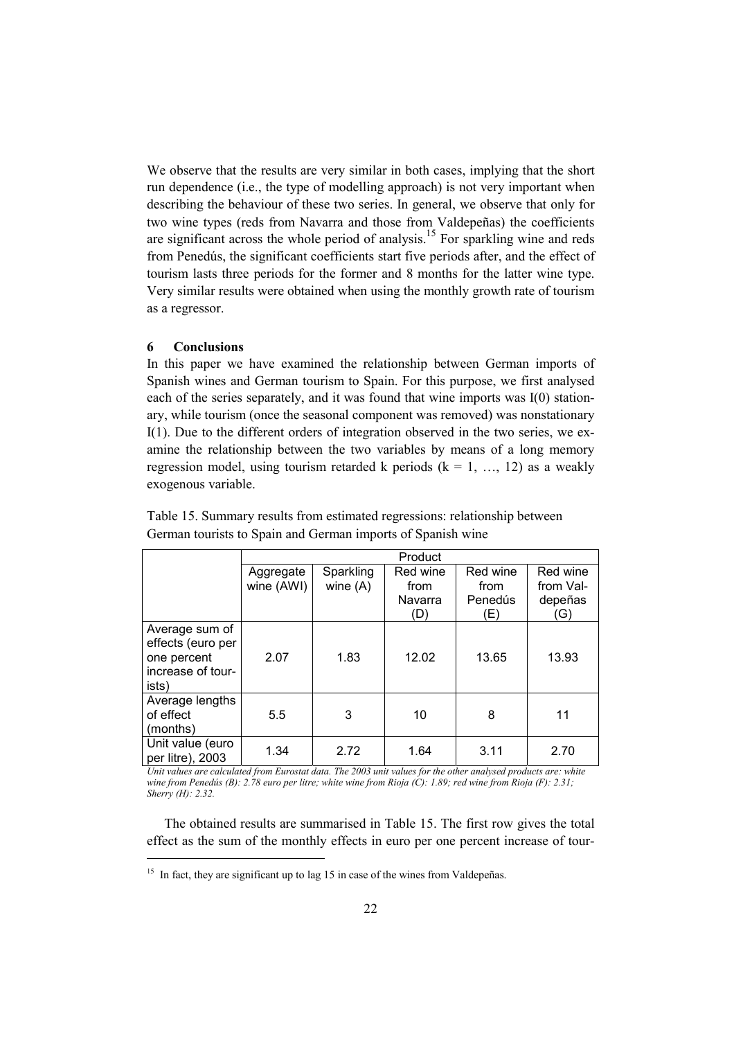We observe that the results are very similar in both cases, implying that the short run dependence (i.e., the type of modelling approach) is not very important when describing the behaviour of these two series. In general, we observe that only for two wine types (reds from Navarra and those from Valdepeñas) the coefficients are significant across the whole period of analysis.<sup>15</sup> For sparkling wine and reds from Penedús, the significant coefficients start five periods after, and the effect of tourism lasts three periods for the former and 8 months for the latter wine type. Very similar results were obtained when using the monthly growth rate of tourism as a regressor.

#### **6 Conclusions**

l

In this paper we have examined the relationship between German imports of Spanish wines and German tourism to Spain. For this purpose, we first analysed each of the series separately, and it was found that wine imports was I(0) stationary, while tourism (once the seasonal component was removed) was nonstationary I(1). Due to the different orders of integration observed in the two series, we examine the relationship between the two variables by means of a long memory regression model, using tourism retarded k periods  $(k = 1, ..., 12)$  as a weakly exogenous variable.

|                                                                                  | Product                 |                         |                                    |                                    |                                         |  |  |  |
|----------------------------------------------------------------------------------|-------------------------|-------------------------|------------------------------------|------------------------------------|-----------------------------------------|--|--|--|
|                                                                                  | Aggregate<br>wine (AWI) | Sparkling<br>wine $(A)$ | Red wine<br>from<br>Navarra<br>(D) | Red wine<br>from<br>Penedús<br>(E) | Red wine<br>from Val-<br>depeñas<br>(G) |  |  |  |
| Average sum of<br>effects (euro per<br>one percent<br>increase of tour-<br>ists) | 2.07                    | 1.83                    | 12.02                              | 13.65                              | 13.93                                   |  |  |  |
| Average lengths<br>of effect<br>(months)                                         | 5.5                     | 3                       | 10                                 | 8                                  | 11                                      |  |  |  |
| Unit value (euro<br>per litre), 2003                                             | 1.34                    | 2.72                    | 1.64                               | 3.11                               | 2.70                                    |  |  |  |

Table 15. Summary results from estimated regressions: relationship between German tourists to Spain and German imports of Spanish wine

*Unit values are calculated from Eurostat data. The 2003 unit values for the other analysed products are: white wine from Penedús (B): 2.78 euro per litre; white wine from Rioja (C): 1.89; red wine from Rioja (F): 2.31; Sherry (H): 2.32.* 

The obtained results are summarised in Table 15. The first row gives the total effect as the sum of the monthly effects in euro per one percent increase of tour-

<sup>&</sup>lt;sup>15</sup> In fact, they are significant up to lag 15 in case of the wines from Valdepeñas.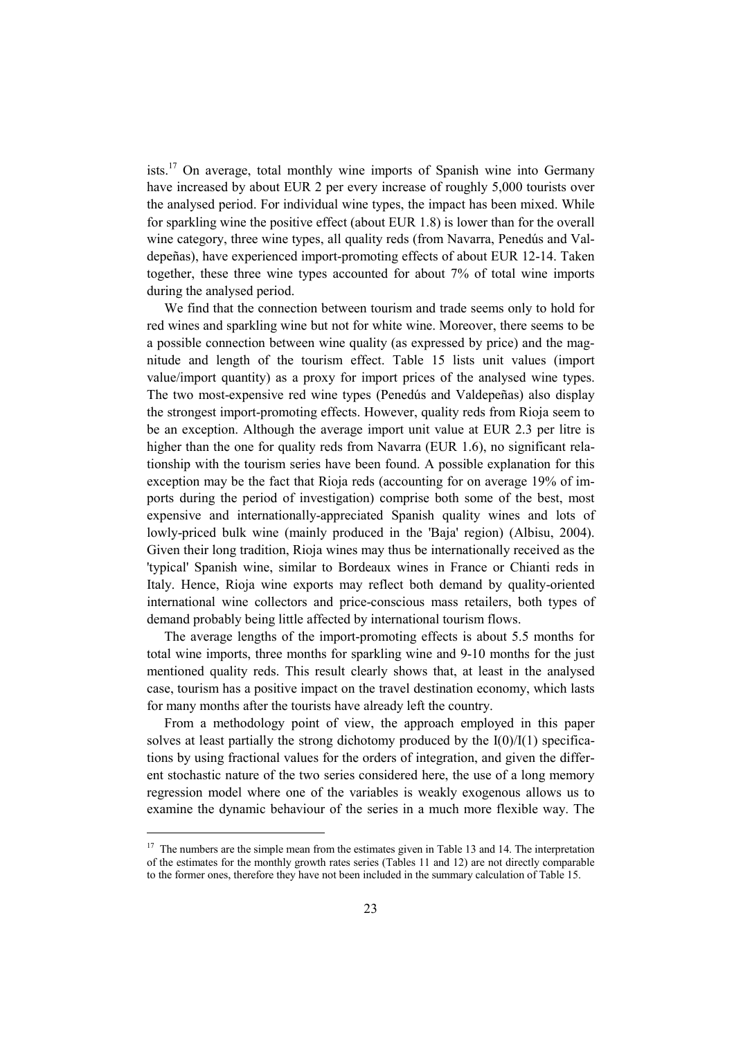ists.<sup>17</sup> On average, total monthly wine imports of Spanish wine into Germany have increased by about EUR 2 per every increase of roughly 5,000 tourists over the analysed period. For individual wine types, the impact has been mixed. While for sparkling wine the positive effect (about EUR 1.8) is lower than for the overall wine category, three wine types, all quality reds (from Navarra, Penedús and Valdepeñas), have experienced import-promoting effects of about EUR 12-14. Taken together, these three wine types accounted for about 7% of total wine imports during the analysed period.

We find that the connection between tourism and trade seems only to hold for red wines and sparkling wine but not for white wine. Moreover, there seems to be a possible connection between wine quality (as expressed by price) and the magnitude and length of the tourism effect. Table 15 lists unit values (import value/import quantity) as a proxy for import prices of the analysed wine types. The two most-expensive red wine types (Penedús and Valdepeñas) also display the strongest import-promoting effects. However, quality reds from Rioja seem to be an exception. Although the average import unit value at EUR 2.3 per litre is higher than the one for quality reds from Navarra (EUR 1.6), no significant relationship with the tourism series have been found. A possible explanation for this exception may be the fact that Rioja reds (accounting for on average 19% of imports during the period of investigation) comprise both some of the best, most expensive and internationally-appreciated Spanish quality wines and lots of lowly-priced bulk wine (mainly produced in the 'Baja' region) (Albisu, 2004). Given their long tradition, Rioja wines may thus be internationally received as the 'typical' Spanish wine, similar to Bordeaux wines in France or Chianti reds in Italy. Hence, Rioja wine exports may reflect both demand by quality-oriented international wine collectors and price-conscious mass retailers, both types of demand probably being little affected by international tourism flows.

The average lengths of the import-promoting effects is about 5.5 months for total wine imports, three months for sparkling wine and 9-10 months for the just mentioned quality reds. This result clearly shows that, at least in the analysed case, tourism has a positive impact on the travel destination economy, which lasts for many months after the tourists have already left the country.

From a methodology point of view, the approach employed in this paper solves at least partially the strong dichotomy produced by the  $I(0)/I(1)$  specifications by using fractional values for the orders of integration, and given the different stochastic nature of the two series considered here, the use of a long memory regression model where one of the variables is weakly exogenous allows us to examine the dynamic behaviour of the series in a much more flexible way. The

<sup>&</sup>lt;sup>17</sup> The numbers are the simple mean from the estimates given in Table 13 and 14. The interpretation of the estimates for the monthly growth rates series (Tables 11 and 12) are not directly comparable to the former ones, therefore they have not been included in the summary calculation of Table 15.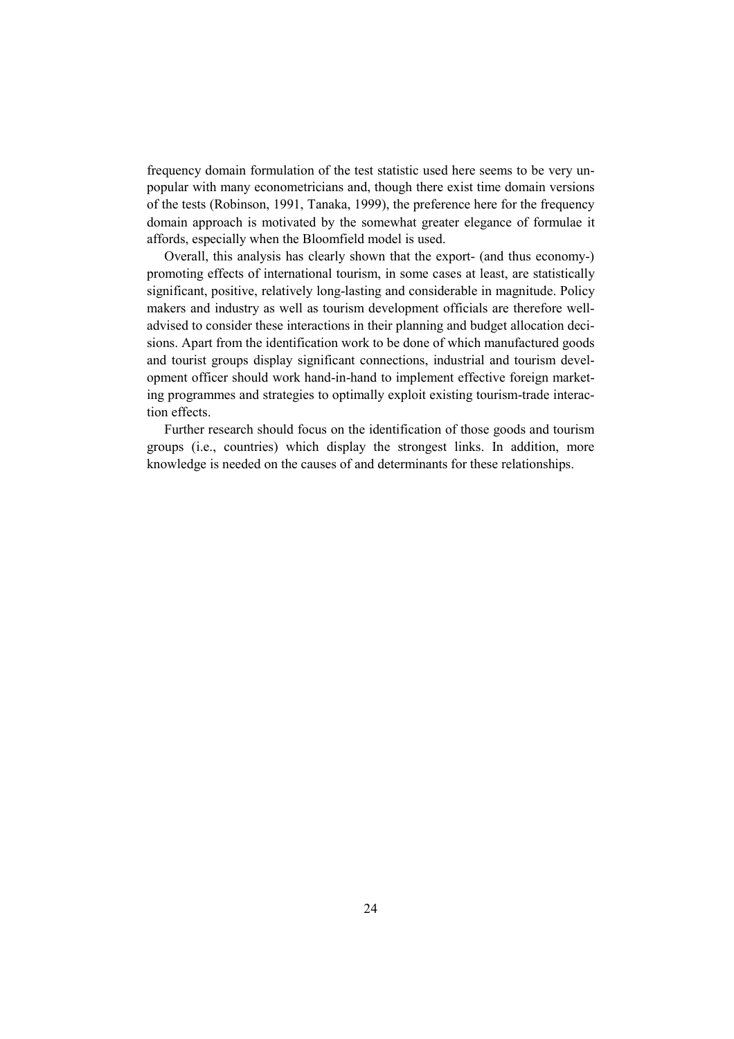frequency domain formulation of the test statistic used here seems to be very unpopular with many econometricians and, though there exist time domain versions of the tests (Robinson, 1991, Tanaka, 1999), the preference here for the frequency domain approach is motivated by the somewhat greater elegance of formulae it affords, especially when the Bloomfield model is used.

Overall, this analysis has clearly shown that the export- (and thus economy-) promoting effects of international tourism, in some cases at least, are statistically significant, positive, relatively long-lasting and considerable in magnitude. Policy makers and industry as well as tourism development officials are therefore welladvised to consider these interactions in their planning and budget allocation decisions. Apart from the identification work to be done of which manufactured goods and tourist groups display significant connections, industrial and tourism development officer should work hand-in-hand to implement effective foreign marketing programmes and strategies to optimally exploit existing tourism-trade interaction effects.

Further research should focus on the identification of those goods and tourism groups (i.e., countries) which display the strongest links. In addition, more knowledge is needed on the causes of and determinants for these relationships.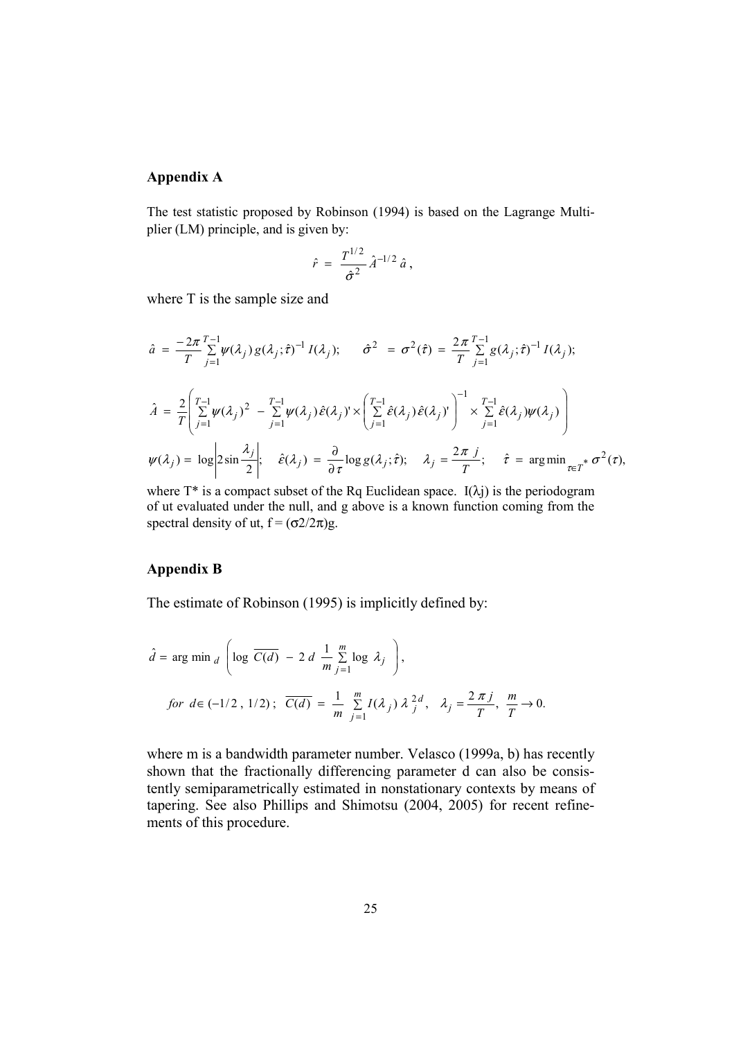## **Appendix A**

The test statistic proposed by Robinson (1994) is based on the Lagrange Multiplier (LM) principle, and is given by:

$$
\hat{r} = \frac{T^{1/2}}{\hat{\sigma}^2} \hat{A}^{-1/2} \hat{a},
$$

where T is the sample size and

$$
\hat{a} = \frac{-2\pi}{T} \sum_{j=1}^{T-1} \psi(\lambda_j) g(\lambda_j; \hat{\tau})^{-1} I(\lambda_j); \qquad \hat{\sigma}^2 = \sigma^2(\hat{\tau}) = \frac{2\pi}{T} \sum_{j=1}^{T-1} g(\lambda_j; \hat{\tau})^{-1} I(\lambda_j);
$$
  

$$
\hat{A} = \frac{2}{T} \left( \sum_{j=1}^{T-1} \psi(\lambda_j)^2 - \sum_{j=1}^{T-1} \psi(\lambda_j) \hat{\epsilon}(\lambda_j)^1 \times \left( \sum_{j=1}^{T-1} \hat{\epsilon}(\lambda_j) \hat{\epsilon}(\lambda_j)^1 \right)^{-1} \times \sum_{j=1}^{T-1} \hat{\epsilon}(\lambda_j) \psi(\lambda_j) \right)
$$
  

$$
\psi(\lambda_j) = \log \left| 2\sin \frac{\lambda_j}{2} \right|; \quad \hat{\epsilon}(\lambda_j) = \frac{\partial}{\partial \tau} \log g(\lambda_j; \hat{\tau}); \quad \lambda_j = \frac{2\pi j}{T}; \quad \hat{\tau} = \arg \min_{\tau \in T^*} \sigma^2(\tau),
$$

where  $T^*$  is a compact subset of the Rq Euclidean space. I( $\lambda$ j) is the periodogram of ut evaluated under the null, and g above is a known function coming from the spectral density of ut,  $f = (\sigma 2/2\pi)g$ .

## **Appendix B**

The estimate of Robinson (1995) is implicitly defined by:

$$
\hat{d} = \arg \min_{d} \left( \log \overline{C(d)} - 2 d \frac{1}{m} \sum_{j=1}^{m} \log \lambda_j \right),
$$
  
for  $d \in (-1/2, 1/2)$ ;  $\overline{C(d)} = \frac{1}{m} \sum_{j=1}^{m} I(\lambda_j) \lambda_j^{2d}, \lambda_j = \frac{2 \pi j}{T}, \frac{m}{T} \to 0.$ 

where m is a bandwidth parameter number. Velasco (1999a, b) has recently shown that the fractionally differencing parameter d can also be consistently semiparametrically estimated in nonstationary contexts by means of tapering. See also Phillips and Shimotsu (2004, 2005) for recent refinements of this procedure.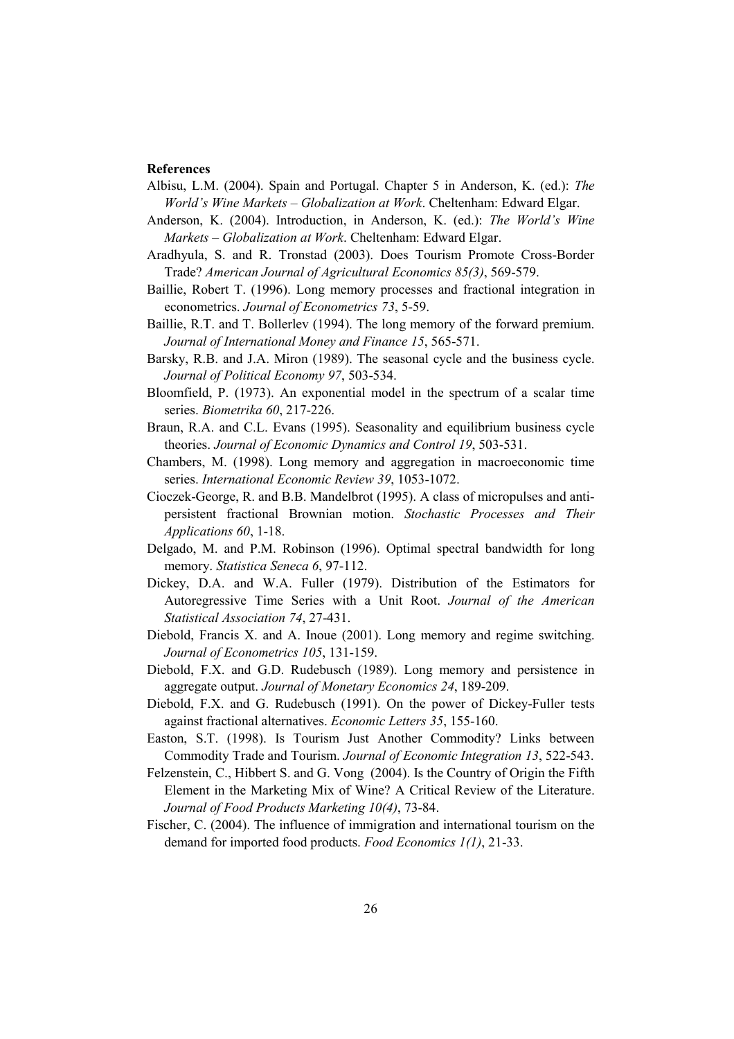#### **References**

- Albisu, L.M. (2004). Spain and Portugal. Chapter 5 in Anderson, K. (ed.): *The World's Wine Markets – Globalization at Work*. Cheltenham: Edward Elgar.
- Anderson, K. (2004). Introduction, in Anderson, K. (ed.): *The World's Wine Markets – Globalization at Work*. Cheltenham: Edward Elgar.
- Aradhyula, S. and R. Tronstad (2003). Does Tourism Promote Cross-Border Trade? *American Journal of Agricultural Economics 85(3)*, 569-579.
- Baillie, Robert T. (1996). Long memory processes and fractional integration in econometrics. *Journal of Econometrics 73*, 5-59.
- Baillie, R.T. and T. Bollerlev (1994). The long memory of the forward premium. *Journal of International Money and Finance 15*, 565-571.
- Barsky, R.B. and J.A. Miron (1989). The seasonal cycle and the business cycle. *Journal of Political Economy 97*, 503-534.
- Bloomfield, P. (1973). An exponential model in the spectrum of a scalar time series. *Biometrika 60*, 217-226.
- Braun, R.A. and C.L. Evans (1995). Seasonality and equilibrium business cycle theories. *Journal of Economic Dynamics and Control 19*, 503-531.
- Chambers, M. (1998). Long memory and aggregation in macroeconomic time series. *International Economic Review 39*, 1053-1072.
- Cioczek-George, R. and B.B. Mandelbrot (1995). A class of micropulses and antipersistent fractional Brownian motion. *Stochastic Processes and Their Applications 60*, 1-18.
- Delgado, M. and P.M. Robinson (1996). Optimal spectral bandwidth for long memory. *Statistica Seneca 6*, 97-112.
- Dickey, D.A. and W.A. Fuller (1979). Distribution of the Estimators for Autoregressive Time Series with a Unit Root. *Journal of the American Statistical Association 74*, 27-431.
- Diebold, Francis X. and A. Inoue (2001). Long memory and regime switching. *Journal of Econometrics 105*, 131-159.
- Diebold, F.X. and G.D. Rudebusch (1989). Long memory and persistence in aggregate output. *Journal of Monetary Economics 24*, 189-209.
- Diebold, F.X. and G. Rudebusch (1991). On the power of Dickey-Fuller tests against fractional alternatives. *Economic Letters 35*, 155-160.
- Easton, S.T. (1998). Is Tourism Just Another Commodity? Links between Commodity Trade and Tourism. *Journal of Economic Integration 13*, 522-543.
- Felzenstein, C., Hibbert S. and G. Vong (2004). Is the Country of Origin the Fifth Element in the Marketing Mix of Wine? A Critical Review of the Literature. *Journal of Food Products Marketing 10(4)*, 73-84.
- Fischer, C. (2004). The influence of immigration and international tourism on the demand for imported food products. *Food Economics 1(1)*, 21-33.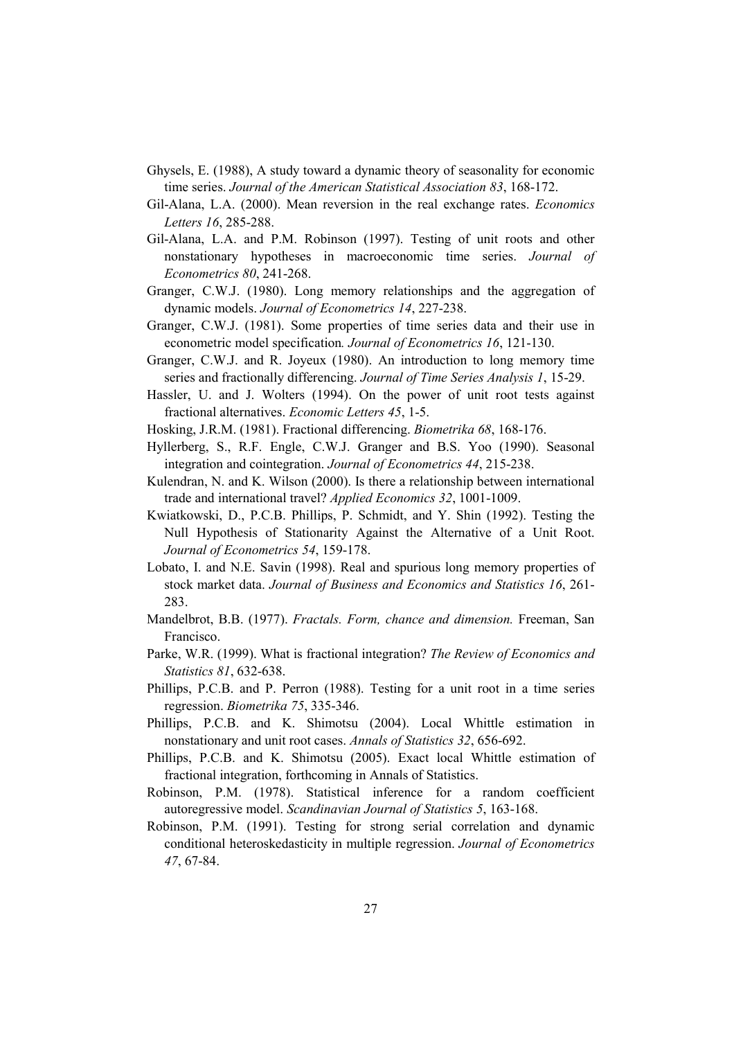- Ghysels, E. (1988), A study toward a dynamic theory of seasonality for economic time series. *Journal of the American Statistical Association 83*, 168-172.
- Gil-Alana, L.A. (2000). Mean reversion in the real exchange rates. *Economics Letters 16*, 285-288.
- Gil-Alana, L.A. and P.M. Robinson (1997). Testing of unit roots and other nonstationary hypotheses in macroeconomic time series. *Journal of Econometrics 80*, 241-268.
- Granger, C.W.J. (1980). Long memory relationships and the aggregation of dynamic models. *Journal of Econometrics 14*, 227-238.
- Granger, C.W.J. (1981). Some properties of time series data and their use in econometric model specification*. Journal of Econometrics 16*, 121-130.
- Granger, C.W.J. and R. Joyeux (1980). An introduction to long memory time series and fractionally differencing. *Journal of Time Series Analysis 1*, 15-29.
- Hassler, U. and J. Wolters (1994). On the power of unit root tests against fractional alternatives. *Economic Letters 45*, 1-5.
- Hosking, J.R.M. (1981). Fractional differencing. *Biometrika 68*, 168-176.
- Hyllerberg, S., R.F. Engle, C.W.J. Granger and B.S. Yoo (1990). Seasonal integration and cointegration. *Journal of Econometrics 44*, 215-238.
- Kulendran, N. and K. Wilson (2000). Is there a relationship between international trade and international travel? *Applied Economics 32*, 1001-1009.
- Kwiatkowski, D., P.C.B. Phillips, P. Schmidt, and Y. Shin (1992). Testing the Null Hypothesis of Stationarity Against the Alternative of a Unit Root. *Journal of Econometrics 54*, 159-178.
- Lobato, I. and N.E. Savin (1998). Real and spurious long memory properties of stock market data. *Journal of Business and Economics and Statistics 16*, 261- 283.
- Mandelbrot, B.B. (1977). *Fractals. Form, chance and dimension.* Freeman, San Francisco.
- Parke, W.R. (1999). What is fractional integration? *The Review of Economics and Statistics 81*, 632-638.
- Phillips, P.C.B. and P. Perron (1988). Testing for a unit root in a time series regression. *Biometrika 75*, 335-346.
- Phillips, P.C.B. and K. Shimotsu (2004). Local Whittle estimation in nonstationary and unit root cases. *Annals of Statistics 32*, 656-692.
- Phillips, P.C.B. and K. Shimotsu (2005). Exact local Whittle estimation of fractional integration, forthcoming in Annals of Statistics.
- Robinson, P.M. (1978). Statistical inference for a random coefficient autoregressive model. *Scandinavian Journal of Statistics 5*, 163-168.
- Robinson, P.M. (1991). Testing for strong serial correlation and dynamic conditional heteroskedasticity in multiple regression. *Journal of Econometrics 47*, 67-84.